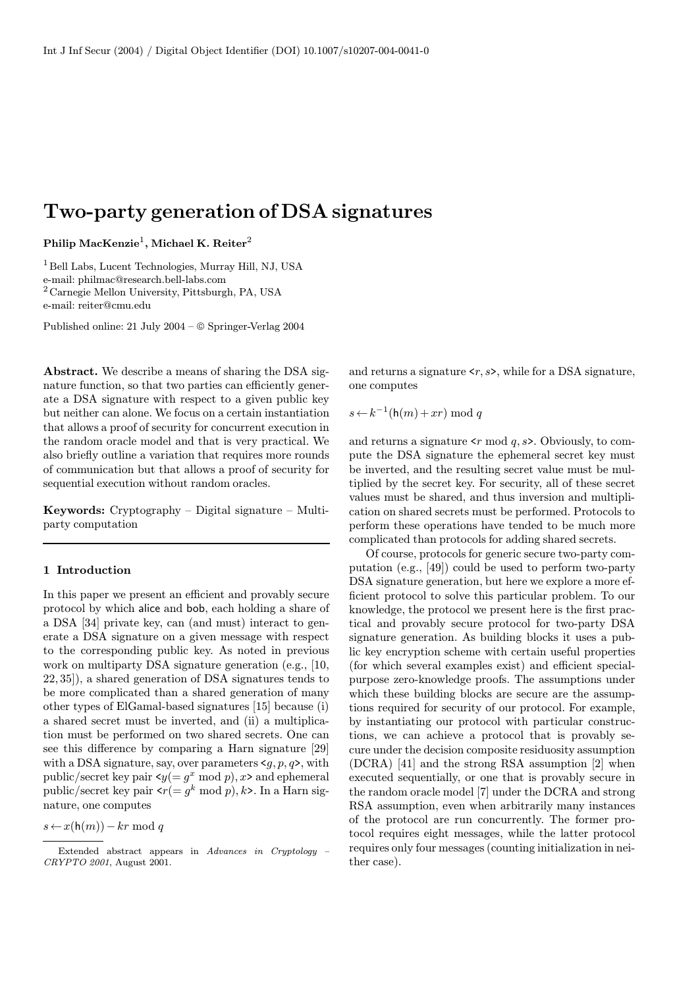# Two-party generation of DSA signatures

Philip MacKenzie<sup>1</sup>, Michael K. Reiter<sup>2</sup>

<sup>1</sup> Bell Labs, Lucent Technologies, Murray Hill, NJ, USA e-mail: philmac@research.bell-labs.com <sup>2</sup> Carnegie Mellon University, Pittsburgh, PA, USA e-mail: reiter@cmu.edu

Published online:  $21$  July  $2004 - \circ$  Springer-Verlag  $2004$ 

Abstract. We describe a means of sharing the DSA signature function, so that two parties can efficiently generate a DSA signature with respect to a given public key but neither can alone. We focus on a certain instantiation that allows a proof of security for concurrent execution in the random oracle model and that is very practical. We also briefly outline a variation that requires more rounds of communication but that allows a proof of security for sequential execution without random oracles.

Keywords: Cryptography – Digital signature – Multiparty computation

# 1 Introduction

In this paper we present an efficient and provably secure protocol by which alice and bob, each holding a share of a DSA [34] private key, can (and must) interact to generate a DSA signature on a given message with respect to the corresponding public key. As noted in previous work on multiparty DSA signature generation (e.g., [10, 22, 35]), a shared generation of DSA signatures tends to be more complicated than a shared generation of many other types of ElGamal-based signatures [15] because (i) a shared secret must be inverted, and (ii) a multiplication must be performed on two shared secrets. One can see this difference by comparing a Harn signature [29] with a DSA signature, say, over parameters  $\langle q, p, q \rangle$ , with public/secret key pair  $\leq y (= g^x \mod p)$ ,  $x >$  and ephemeral public/secret key pair  $\leq r (= g^k \mod p), k$ . In a Harn signature, one computes

s ←  $x(h(m)) - kr \mod q$ 

and returns a signature  $\langle r, s \rangle$ , while for a DSA signature, one computes

 $s \leftarrow k^{-1}(\mathsf{h}(m) + xr) \bmod q$ 

and returns a signature  $\leq r \mod q$ , s>. Obviously, to compute the DSA signature the ephemeral secret key must be inverted, and the resulting secret value must be multiplied by the secret key. For security, all of these secret values must be shared, and thus inversion and multiplication on shared secrets must be performed. Protocols to perform these operations have tended to be much more complicated than protocols for adding shared secrets.

Of course, protocols for generic secure two-party computation (e.g., [49]) could be used to perform two-party DSA signature generation, but here we explore a more efficient protocol to solve this particular problem. To our knowledge, the protocol we present here is the first practical and provably secure protocol for two-party DSA signature generation. As building blocks it uses a public key encryption scheme with certain useful properties (for which several examples exist) and efficient specialpurpose zero-knowledge proofs. The assumptions under which these building blocks are secure are the assumptions required for security of our protocol. For example, by instantiating our protocol with particular constructions, we can achieve a protocol that is provably secure under the decision composite residuosity assumption (DCRA) [41] and the strong RSA assumption [2] when executed sequentially, or one that is provably secure in the random oracle model [7] under the DCRA and strong RSA assumption, even when arbitrarily many instances of the protocol are run concurrently. The former protocol requires eight messages, while the latter protocol requires only four messages (counting initialization in neither case).

Extended abstract appears in Advances in Cryptology – CRYPTO 2001, August 2001.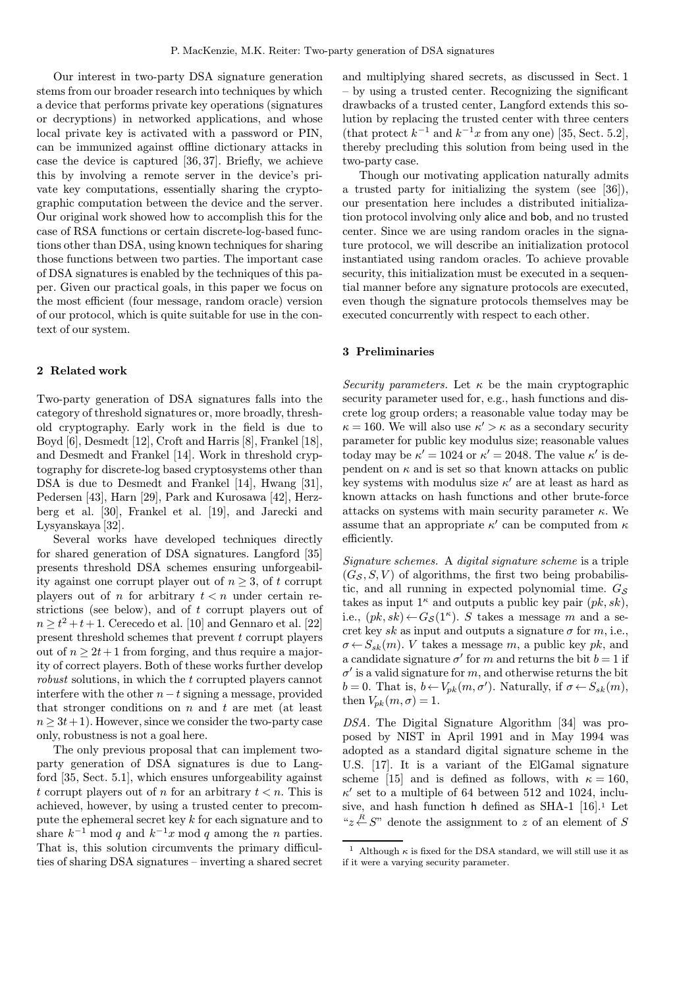Our interest in two-party DSA signature generation stems from our broader research into techniques by which a device that performs private key operations (signatures or decryptions) in networked applications, and whose local private key is activated with a password or PIN, can be immunized against offline dictionary attacks in case the device is captured [36, 37]. Briefly, we achieve this by involving a remote server in the device's private key computations, essentially sharing the cryptographic computation between the device and the server. Our original work showed how to accomplish this for the case of RSA functions or certain discrete-log-based functions other than DSA, using known techniques for sharing those functions between two parties. The important case of DSA signatures is enabled by the techniques of this paper. Given our practical goals, in this paper we focus on the most efficient (four message, random oracle) version of our protocol, which is quite suitable for use in the context of our system.

#### 2 Related work

Two-party generation of DSA signatures falls into the category of threshold signatures or, more broadly, threshold cryptography. Early work in the field is due to Boyd [6], Desmedt [12], Croft and Harris [8], Frankel [18], and Desmedt and Frankel [14]. Work in threshold cryptography for discrete-log based cryptosystems other than DSA is due to Desmedt and Frankel [14], Hwang [31], Pedersen [43], Harn [29], Park and Kurosawa [42], Herzberg et al. [30], Frankel et al. [19], and Jarecki and Lysyanskaya [32].

Several works have developed techniques directly for shared generation of DSA signatures. Langford [35] presents threshold DSA schemes ensuring unforgeability against one corrupt player out of  $n \geq 3$ , of t corrupt players out of n for arbitrary  $t < n$  under certain restrictions (see below), and of t corrupt players out of  $n \geq t^2 + t + 1$ . Cerecedo et al. [10] and Gennaro et al. [22] present threshold schemes that prevent t corrupt players out of  $n > 2t+1$  from forging, and thus require a majority of correct players. Both of these works further develop robust solutions, in which the t corrupted players cannot interfere with the other  $n-t$  signing a message, provided that stronger conditions on  $n$  and  $t$  are met (at least  $n \geq 3t + 1$ . However, since we consider the two-party case only, robustness is not a goal here.

The only previous proposal that can implement twoparty generation of DSA signatures is due to Langford [35, Sect. 5.1], which ensures unforgeability against t corrupt players out of n for an arbitrary  $t < n$ . This is achieved, however, by using a trusted center to precompute the ephemeral secret key k for each signature and to share  $k^{-1}$  mod q and  $k^{-1}x$  mod q among the n parties. That is, this solution circumvents the primary difficulties of sharing DSA signatures – inverting a shared secret and multiplying shared secrets, as discussed in Sect. 1 – by using a trusted center. Recognizing the significant drawbacks of a trusted center, Langford extends this solution by replacing the trusted center with three centers (that protect  $k^{-1}$  and  $k^{-1}x$  from any one) [35, Sect. 5.2], thereby precluding this solution from being used in the two-party case.

Though our motivating application naturally admits a trusted party for initializing the system (see [36]), our presentation here includes a distributed initialization protocol involving only alice and bob, and no trusted center. Since we are using random oracles in the signature protocol, we will describe an initialization protocol instantiated using random oracles. To achieve provable security, this initialization must be executed in a sequential manner before any signature protocols are executed, even though the signature protocols themselves may be executed concurrently with respect to each other.

# 3 Preliminaries

Security parameters. Let  $\kappa$  be the main cryptographic security parameter used for, e.g., hash functions and discrete log group orders; a reasonable value today may be  $\kappa = 160$ . We will also use  $\kappa' > \kappa$  as a secondary security parameter for public key modulus size; reasonable values today may be  $\kappa' = 1024$  or  $\kappa' = 2048$ . The value  $\kappa'$  is dependent on  $\kappa$  and is set so that known attacks on public key systems with modulus size  $\kappa'$  are at least as hard as known attacks on hash functions and other brute-force attacks on systems with main security parameter  $\kappa$ . We assume that an appropriate  $\kappa'$  can be computed from  $\kappa$ efficiently.

Signature schemes. A digital signature scheme is a triple  $(G<sub>S</sub>, S, V)$  of algorithms, the first two being probabilistic, and all running in expected polynomial time.  $G<sub>S</sub>$ takes as input  $1^{\kappa}$  and outputs a public key pair  $(pk, sk)$ , i.e.,  $(pk, sk) \leftarrow G_S(1^{\kappa})$ . S takes a message m and a secret key sk as input and outputs a signature  $\sigma$  for m, i.e.,  $\sigma \leftarrow S_{sk}(m)$ . V takes a message m, a public key pk, and a candidate signature  $\sigma'$  for m and returns the bit  $b = 1$  if  $\sigma'$  is a valid signature for m, and otherwise returns the bit b = 0. That is,  $b \leftarrow V_{pk}(m, \sigma')$ . Naturally, if  $\sigma \leftarrow S_{sk}(m)$ , then  $V_{pk}(m, \sigma) = 1$ .

DSA. The Digital Signature Algorithm [34] was proposed by NIST in April 1991 and in May 1994 was adopted as a standard digital signature scheme in the U.S. [17]. It is a variant of the ElGamal signature scheme [15] and is defined as follows, with  $\kappa = 160$ ,  $\kappa'$  set to a multiple of 64 between 512 and 1024, inclusive, and hash function  $h$  defined as SHA-1 [16].<sup>1</sup> Let " $z \stackrel{R}{\leftarrow} S$ " denote the assignment to z of an element of S

<sup>&</sup>lt;sup>1</sup> Although  $\kappa$  is fixed for the DSA standard, we will still use it as if it were a varying security parameter.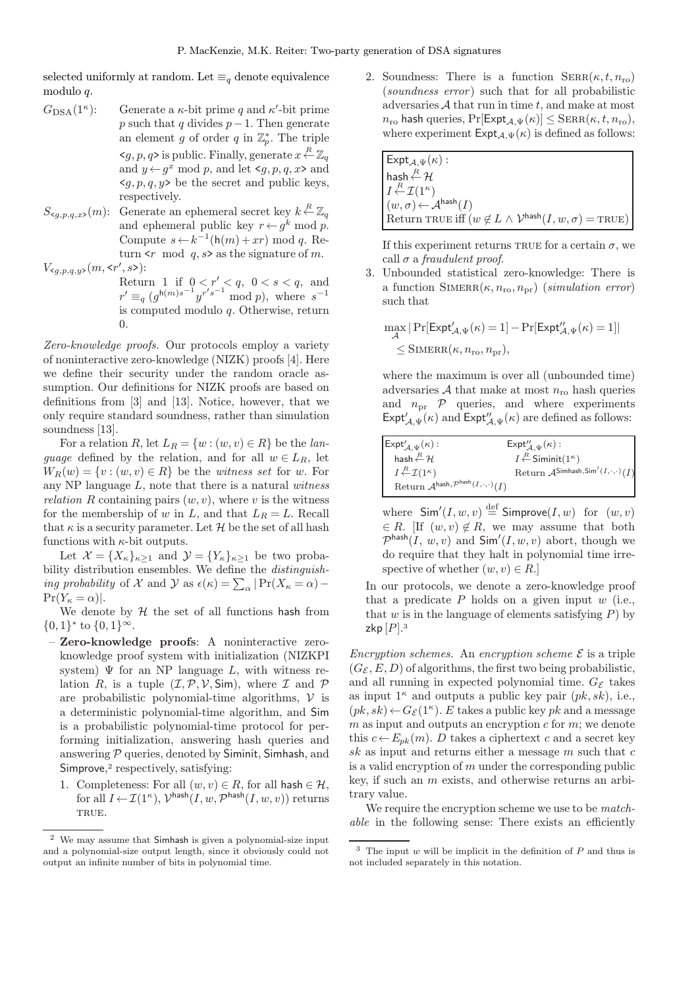selected uniformly at random. Let  $\equiv_q$  denote equivalence modulo q.

- $G_{\text{DSA}}(1^{\kappa})$ : Generate a  $\kappa$ -bit prime q and  $\kappa'$ -bit prime p such that q divides  $p-1$ . Then generate an element g of order q in  $\mathbb{Z}_p^*$ . The triple  $\langle g,p,q \rangle$  is public. Finally, generate  $x \stackrel{R}{\leftarrow} \mathbb{Z}_q$ and  $y \leftarrow g^x \mod p$ , and let  $\leq g, p, q, x > \text{and}$  $\langle q, p, q, y \rangle$  be the secret and public keys, respectively.
- $S_{\leq g,p,q,x>}(m)$ : Generate an ephemeral secret key  $k \stackrel{R}{\leftarrow} \mathbb{Z}_q$ and ephemeral public key  $r \leftarrow g^k \mod p$ . Compute  $s \leftarrow k^{-1}(\mathsf{h}(m) + xr) \mod q$ . Return  $\leq r \mod q$ , s> as the signature of m.

 $V_{\leq g, p, q, y>}$  $(m, \leq r', s$ >):

Return 1 if  $0 < r' < q$ ,  $0 < s < q$ , and  $r' \equiv_q (g^{\mathsf{h}(m)s^{-1}} y^{r's^{-1}} \mod p)$ , where  $s^{-1}$ is computed modulo q. Otherwise, return  $\Omega$ .

Zero-knowledge proofs. Our protocols employ a variety of noninteractive zero-knowledge (NIZK) proofs [4]. Here we define their security under the random oracle assumption. Our definitions for NIZK proofs are based on definitions from [3] and [13]. Notice, however, that we only require standard soundness, rather than simulation soundness [13].

For a relation R, let  $L_R = \{w : (w, v) \in R\}$  be the lan*guage* defined by the relation, and for all  $w \in L_R$ , let  $W_R(w) = \{v : (w, v) \in R\}$  be the *witness set* for w. For any NP language  $L$ , note that there is a natural witness relation R containing pairs  $(w, v)$ , where v is the witness for the membership of w in L, and that  $L_R = L$ . Recall that  $\kappa$  is a security parameter. Let  $\mathcal H$  be the set of all hash functions with  $\kappa$ -bit outputs.

Let  $\mathcal{X} = \{X_{\kappa}\}_{\kappa \geq 1}$  and  $\mathcal{Y} = \{Y_{\kappa}\}_{\kappa \geq 1}$  be two probability distribution ensembles. We define the distinguish*ing probability* of  $X$  and  $Y$  as  $\epsilon(\kappa) = \sum_{\alpha} |Pr(X_{\kappa} = \alpha) Pr(Y_{\kappa} = \alpha)|$ .

We denote by  $H$  the set of all functions hash from  ${0,1}^*$  to  ${0,1}^{\infty}$ .

- Zero-knowledge proofs: A noninteractive zeroknowledge proof system with initialization (NIZKPI system)  $\Psi$  for an NP language L, with witness relation R, is a tuple  $(\mathcal{I}, \mathcal{P}, \mathcal{V}, \mathsf{Sim})$ , where  $\mathcal I$  and  $\mathcal P$ are probabilistic polynomial-time algorithms,  $V$  is a deterministic polynomial-time algorithm, and Sim is a probabilistic polynomial-time protocol for performing initialization, answering hash queries and answering  $P$  queries, denoted by Siminit, Simhash, and Simprove, <sup>2</sup> respectively, satisfying:
	- 1. Completeness: For all  $(w, v) \in R$ , for all hash  $\in \mathcal{H}$ , for all  $I \leftarrow \mathcal{I}(1^{\kappa}), \mathcal{V}^{\mathsf{hash}}(I, w, \mathcal{P}^{\mathsf{hash}}(I, w, v))$  returns TRUE.

2. Soundness: There is a function  $\text{SERR}(\kappa, t, n_{\text{ro}})$ (soundness error) such that for all probabilistic adversaries  $A$  that run in time  $t$ , and make at most  $n_{\rm ro}$  hash queries,  $Pr[Expt_{A,\Psi}(\kappa)] \leq$  SERR $(\kappa, t, n_{\rm ro}),$ where experiment  $\mathsf{Expt}_{\mathcal{A},\Psi}(\kappa)$  is defined as follows:

| $\mathsf{Expt}_{\mathcal{A},\Psi}(\kappa):$                                          |
|--------------------------------------------------------------------------------------|
| hash $\stackrel{R}{\leftarrow} \mathcal{H}$                                          |
| $I \stackrel{R}{\leftarrow} \mathcal{I}(1^{\kappa})$                                 |
| $(w, \sigma) \leftarrow \mathcal{A}^{\mathsf{hash}}(I)$                              |
| Return TRUE iff $(w \notin L \wedge \mathcal{V}^{hash}(I, w, \sigma) = \text{TRUE})$ |

If this experiment returns TRUE for a certain  $\sigma$ , we call  $\sigma$  a fraudulent proof.

3. Unbounded statistical zero-knowledge: There is a function  $\text{SIMERR}(\kappa, n_{\text{ro}}, n_{\text{pr}})$  (simulation error) such that

$$
\max_{\mathcal{A}} |\Pr[\mathsf{Expt}'_{\mathcal{A},\Psi}(\kappa) = 1] - \Pr[\mathsf{Expt}'_{\mathcal{A},\Psi}(\kappa) = 1]|
$$
  

$$
\leq \text{SIMERR}(\kappa, n_{\text{ro}}, n_{\text{pr}}),
$$

where the maximum is over all (unbounded time) adversaries  $A$  that make at most  $n_{\rm ro}$  hash queries and  $n_{\text{pr}}$   $\mathcal{P}$  queries, and where experiments  $\mathsf{Expt}_{\mathcal{A},\Psi}^{\prime}(\kappa)$  and  $\mathsf{Expt}_{\mathcal{A},\Psi}^{\prime}(\kappa)$  are defined as follows:

| $\mathsf{Expt}'_{\mathcal{A},\Psi}(\kappa):$                                          | $\mathsf{Expt}_{{\mathcal A}.\Psi}''(\kappa)$ :                            |
|---------------------------------------------------------------------------------------|----------------------------------------------------------------------------|
| hash $\stackrel{R}{\leftarrow} \mathcal{H}$                                           | $I \stackrel{R}{\leftarrow}$ Siminit $(1^{\kappa})$                        |
| $I \stackrel{R}{\leftarrow} \mathcal{I}(1^{\kappa})$                                  | Return $\mathcal{A}^{\mathsf{Simhash}, \mathsf{Sim}'(I, \cdot, \cdot)}(I)$ |
| Return $\mathcal{A}^{\mathsf{hash}, \mathcal{P}^{\mathsf{hash}}(I, \cdot, \cdot)}(I)$ |                                                                            |

where  $\textsf{Sim}'(I, w, v) \stackrel{\text{def}}{=} \textsf{Simprove}(I, w)$  for  $(w, v)$  $\in R$ . If  $(w, v) \notin R$ , we may assume that both  $\mathcal{P}^{\mathsf{hash}}(I, w, v)$  and  $\mathsf{Sim}'(I, w, v)$  abort, though we do require that they halt in polynomial time irrespective of whether  $(w, v) \in R$ .

In our protocols, we denote a zero-knowledge proof that a predicate  $P$  holds on a given input  $w$  (i.e., that  $w$  is in the language of elements satisfying  $P$ ) by zkp $[P].^3$ 

Encryption schemes. An encryption scheme  $\mathcal E$  is a triple  $(G_{\mathcal{E}}, E, D)$  of algorithms, the first two being probabilistic, and all running in expected polynomial time.  $G_{\mathcal{E}}$  takes as input  $1^{\kappa}$  and outputs a public key pair  $(pk, sk)$ , i.e.,  $(pk, sk) \leftarrow G_{\mathcal{E}}(1^{\kappa})$ . E takes a public key pk and a message  $m$  as input and outputs an encryption  $c$  for  $m$ ; we denote this  $c \leftarrow E_{pk}(m)$ . D takes a ciphertext c and a secret key sk as input and returns either a message  $m$  such that  $c$ is a valid encryption of  $m$  under the corresponding public key, if such an m exists, and otherwise returns an arbitrary value.

We require the encryption scheme we use to be *match*able in the following sense: There exists an efficiently

<sup>2</sup> We may assume that Simhash is given a polynomial-size input and a polynomial-size output length, since it obviously could not output an infinite number of bits in polynomial time.

 $3$  The input w will be implicit in the definition of  $P$  and thus is not included separately in this notation.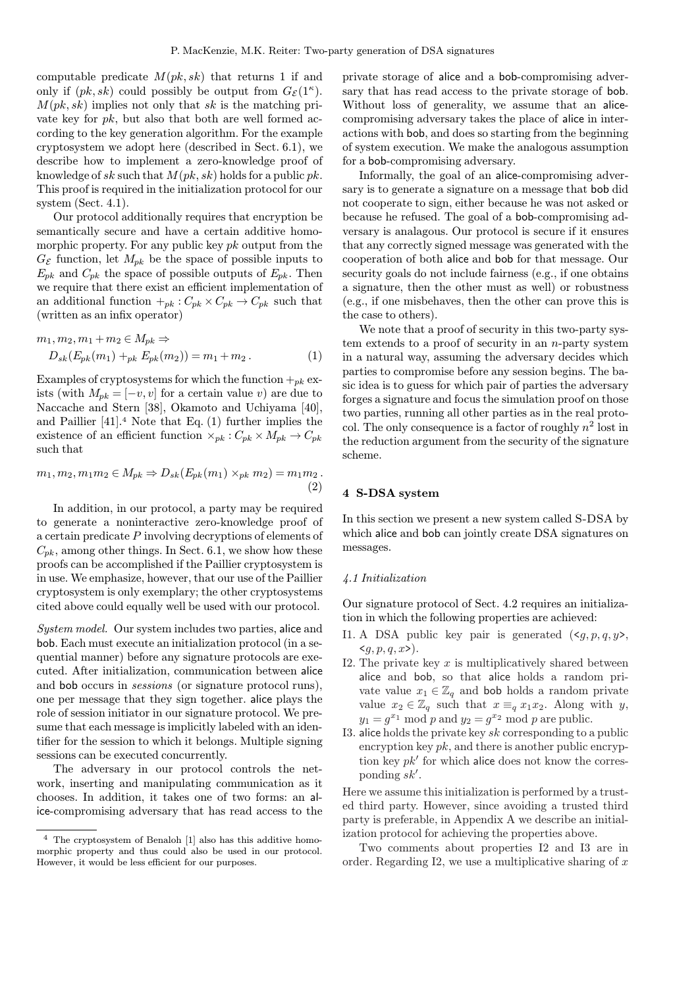computable predicate  $M(pk, sk)$  that returns 1 if and only if  $(pk, sk)$  could possibly be output from  $G_{\mathcal{E}}(1^{\kappa})$ .  $M(pk, sk)$  implies not only that sk is the matching private key for  $pk$ , but also that both are well formed according to the key generation algorithm. For the example cryptosystem we adopt here (described in Sect. 6.1), we describe how to implement a zero-knowledge proof of knowledge of sk such that  $M(pk, sk)$  holds for a public pk. This proof is required in the initialization protocol for our system (Sect. 4.1).

Our protocol additionally requires that encryption be semantically secure and have a certain additive homomorphic property. For any public key  $pk$  output from the  $G_{\mathcal{E}}$  function, let  $M_{pk}$  be the space of possible inputs to  $E_{pk}$  and  $C_{pk}$  the space of possible outputs of  $E_{pk}$ . Then we require that there exist an efficient implementation of an additional function  $+_{pk}: C_{pk} \times C_{pk} \rightarrow C_{pk}$  such that (written as an infix operator)

$$
m_1, m_2, m_1 + m_2 \in M_{pk} \Rightarrow
$$
  
\n
$$
D_{sk}(E_{pk}(m_1) +_{pk} E_{pk}(m_2)) = m_1 + m_2.
$$
 (1)

Examples of cryptosystems for which the function  $+_{pk}$  exists (with  $M_{pk} = [-v, v]$  for a certain value v) are due to Naccache and Stern [38], Okamoto and Uchiyama [40], and Paillier  $[41]$ .<sup>4</sup> Note that Eq.  $(1)$  further implies the existence of an efficient function  $\times_{pk} : C_{pk} \times M_{pk} \rightarrow C_{pk}$ such that

$$
m_1, m_2, m_1 m_2 \in M_{pk} \Rightarrow D_{sk}(E_{pk}(m_1) \times_{pk} m_2) = m_1 m_2.
$$
\n(2)

In addition, in our protocol, a party may be required to generate a noninteractive zero-knowledge proof of a certain predicate P involving decryptions of elements of  $C_{pk}$ , among other things. In Sect. 6.1, we show how these proofs can be accomplished if the Paillier cryptosystem is in use. We emphasize, however, that our use of the Paillier cryptosystem is only exemplary; the other cryptosystems cited above could equally well be used with our protocol.

System model. Our system includes two parties, alice and bob. Each must execute an initialization protocol (in a sequential manner) before any signature protocols are executed. After initialization, communication between alice and bob occurs in sessions (or signature protocol runs), one per message that they sign together. alice plays the role of session initiator in our signature protocol. We presume that each message is implicitly labeled with an identifier for the session to which it belongs. Multiple signing sessions can be executed concurrently.

The adversary in our protocol controls the network, inserting and manipulating communication as it chooses. In addition, it takes one of two forms: an alice-compromising adversary that has read access to the private storage of alice and a bob-compromising adversary that has read access to the private storage of bob. Without loss of generality, we assume that an alicecompromising adversary takes the place of alice in interactions with bob, and does so starting from the beginning of system execution. We make the analogous assumption for a bob-compromising adversary.

Informally, the goal of an alice-compromising adversary is to generate a signature on a message that bob did not cooperate to sign, either because he was not asked or because he refused. The goal of a bob-compromising adversary is analagous. Our protocol is secure if it ensures that any correctly signed message was generated with the cooperation of both alice and bob for that message. Our security goals do not include fairness (e.g., if one obtains a signature, then the other must as well) or robustness (e.g., if one misbehaves, then the other can prove this is the case to others).

We note that a proof of security in this two-party system extends to a proof of security in an  $n$ -party system in a natural way, assuming the adversary decides which parties to compromise before any session begins. The basic idea is to guess for which pair of parties the adversary forges a signature and focus the simulation proof on those two parties, running all other parties as in the real protocol. The only consequence is a factor of roughly  $n^2$  lost in the reduction argument from the security of the signature scheme.

# 4 S-DSA system

In this section we present a new system called S-DSA by which alice and bob can jointly create DSA signatures on messages.

#### 4.1 Initialization

Our signature protocol of Sect. 4.2 requires an initialization in which the following properties are achieved:

- I1. A DSA public key pair is generated  $(\leq g, p, q, y)$ ,  $\langle q, p, q, x \rangle$ .
- I2. The private key  $x$  is multiplicatively shared between alice and bob, so that alice holds a random private value  $x_1 \in \mathbb{Z}_q$  and bob holds a random private value  $x_2 \in \mathbb{Z}_q$  such that  $x \equiv_q x_1 x_2$ . Along with y,  $y_1 = g^{x_1} \bmod p$  and  $y_2 = g^{x_2} \bmod p$  are public.
- I3. alice holds the private key  $sk$  corresponding to a public encryption key  $pk$ , and there is another public encryption key  $pk'$  for which alice does not know the corresponding  $sk'$ .

Here we assume this initialization is performed by a trusted third party. However, since avoiding a trusted third party is preferable, in Appendix A we describe an initialization protocol for achieving the properties above.

Two comments about properties I2 and I3 are in order. Regarding I2, we use a multiplicative sharing of  $x$ 

<sup>4</sup> The cryptosystem of Benaloh [1] also has this additive homomorphic property and thus could also be used in our protocol. However, it would be less efficient for our purposes.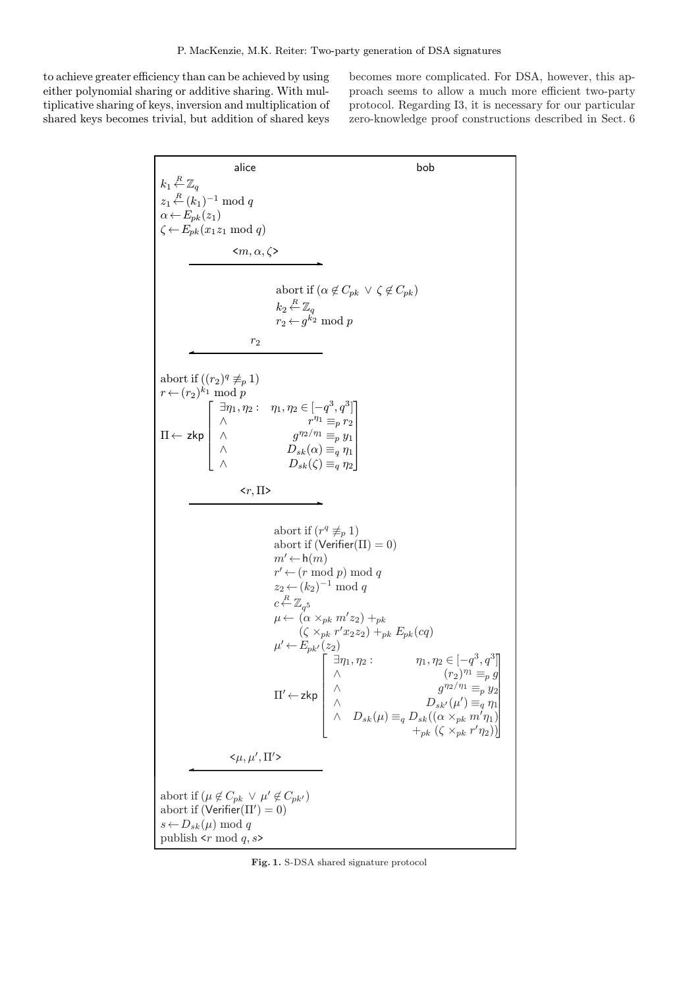to achieve greater efficiency than can be achieved by using either polynomial sharing or additive sharing. With multiplicative sharing of keys, inversion and multiplication of shared keys becomes trivial, but addition of shared keys becomes more complicated. For DSA, however, this approach seems to allow a much more efficient two-party protocol. Regarding I3, it is necessary for our particular zero-knowledge proof constructions described in Sect. 6

| alice                                                                                                                                                                                                                                                                                    | bob                                                                                                                                                                                                                                                                            |
|------------------------------------------------------------------------------------------------------------------------------------------------------------------------------------------------------------------------------------------------------------------------------------------|--------------------------------------------------------------------------------------------------------------------------------------------------------------------------------------------------------------------------------------------------------------------------------|
| $k_1 \stackrel{R}{\leftarrow} \mathbb{Z}_q$                                                                                                                                                                                                                                              |                                                                                                                                                                                                                                                                                |
| $z_1 \stackrel{R}{\leftarrow} (k_1)^{-1} \bmod q$                                                                                                                                                                                                                                        |                                                                                                                                                                                                                                                                                |
| $\alpha \leftarrow E_{pk}(z_1)$                                                                                                                                                                                                                                                          |                                                                                                                                                                                                                                                                                |
| $\zeta \leftarrow E_{pk}(x_1z_1 \mod q)$                                                                                                                                                                                                                                                 |                                                                                                                                                                                                                                                                                |
|                                                                                                                                                                                                                                                                                          |                                                                                                                                                                                                                                                                                |
| $\langle m, \alpha, \zeta \rangle$                                                                                                                                                                                                                                                       |                                                                                                                                                                                                                                                                                |
|                                                                                                                                                                                                                                                                                          |                                                                                                                                                                                                                                                                                |
|                                                                                                                                                                                                                                                                                          | abort if $(\alpha \notin C_{pk} \lor \zeta \notin C_{pk})$                                                                                                                                                                                                                     |
|                                                                                                                                                                                                                                                                                          | $k_2 \overset{\kappa}{\leftarrow} \mathbb{Z}_q$                                                                                                                                                                                                                                |
|                                                                                                                                                                                                                                                                                          | $r_2 \leftarrow q^{\hat{k_2}} \mod p$                                                                                                                                                                                                                                          |
| $r_2$                                                                                                                                                                                                                                                                                    |                                                                                                                                                                                                                                                                                |
|                                                                                                                                                                                                                                                                                          |                                                                                                                                                                                                                                                                                |
|                                                                                                                                                                                                                                                                                          |                                                                                                                                                                                                                                                                                |
| abort if $((r_2)^q \not\equiv_p 1)$                                                                                                                                                                                                                                                      |                                                                                                                                                                                                                                                                                |
| $r \leftarrow (r_2)^{k_1} \mod p$                                                                                                                                                                                                                                                        |                                                                                                                                                                                                                                                                                |
|                                                                                                                                                                                                                                                                                          |                                                                                                                                                                                                                                                                                |
|                                                                                                                                                                                                                                                                                          |                                                                                                                                                                                                                                                                                |
|                                                                                                                                                                                                                                                                                          |                                                                                                                                                                                                                                                                                |
| $\Pi \leftarrow \mathsf{zkp} \begin{bmatrix} \exists \eta_1, \eta_2: & \eta_1, \eta_2 \in [-q^3, q^3] \\ \wedge & r^{\eta_1} \equiv_p r_2 \\ \wedge & g^{\eta_2/\eta_1} \equiv_p y_1 \\ \wedge & D_{sk}(\alpha) \equiv_q \eta_1 \\ \wedge & D_{sk}(\zeta) \equiv_q \eta_2 \end{bmatrix}$ |                                                                                                                                                                                                                                                                                |
|                                                                                                                                                                                                                                                                                          |                                                                                                                                                                                                                                                                                |
| $\langle r, \Pi \rangle$                                                                                                                                                                                                                                                                 |                                                                                                                                                                                                                                                                                |
|                                                                                                                                                                                                                                                                                          |                                                                                                                                                                                                                                                                                |
|                                                                                                                                                                                                                                                                                          |                                                                                                                                                                                                                                                                                |
|                                                                                                                                                                                                                                                                                          | abort if $(r^q \not\equiv_p 1)$<br>abort if (Verifier( $\Pi$ ) = 0)                                                                                                                                                                                                            |
|                                                                                                                                                                                                                                                                                          | $m' \leftarrow h(m)$                                                                                                                                                                                                                                                           |
|                                                                                                                                                                                                                                                                                          | $r' \leftarrow (r \bmod p) \bmod q$                                                                                                                                                                                                                                            |
|                                                                                                                                                                                                                                                                                          | $z_2 \leftarrow (k_2)^{-1} \mod q$                                                                                                                                                                                                                                             |
|                                                                                                                                                                                                                                                                                          | $c \stackrel{R}{\leftarrow} \mathbb{Z}_{q^5}$                                                                                                                                                                                                                                  |
|                                                                                                                                                                                                                                                                                          |                                                                                                                                                                                                                                                                                |
|                                                                                                                                                                                                                                                                                          | $\mu \leftarrow (\alpha \times_{pk} m'z_2) +_{pk}$<br>$(\zeta \times_{pk} r'x_2z_2) +_{pk} E_{pk}(cq)$                                                                                                                                                                         |
|                                                                                                                                                                                                                                                                                          | $\mu' \leftarrow E_{pk'}(z_2)$                                                                                                                                                                                                                                                 |
|                                                                                                                                                                                                                                                                                          | $\begin{bmatrix}\n\exists \eta_1, \eta_2 : & \eta_1, \eta_2 \in [-q^3, q^3] \\ \wedge & (r_2)^{\eta_1} \equiv_p g \\ \wedge & \wedge^{\eta_2/\eta_1} - \wedge^{\eta_2} \n\end{bmatrix}$                                                                                        |
|                                                                                                                                                                                                                                                                                          |                                                                                                                                                                                                                                                                                |
|                                                                                                                                                                                                                                                                                          |                                                                                                                                                                                                                                                                                |
|                                                                                                                                                                                                                                                                                          |                                                                                                                                                                                                                                                                                |
|                                                                                                                                                                                                                                                                                          | $\Pi' \leftarrow \mathsf{zkp} \left[ \begin{array}{ccc} \wedge & g^{\eta_2/\eta_1} \equiv_p y_2 \\ \wedge & D_{sk'}(\mu') \equiv_q \eta_1 \\ \wedge & D_{sk}(\mu) \equiv_q D_{sk}((\alpha \times_{pk} m' \eta_1) \\ +_{pk} (\zeta \times_{pk} r' \eta_2)) \end{array} \right]$ |
|                                                                                                                                                                                                                                                                                          |                                                                                                                                                                                                                                                                                |
| $<\!\!\mu,\mu',\Pi'\!\!>$                                                                                                                                                                                                                                                                |                                                                                                                                                                                                                                                                                |
|                                                                                                                                                                                                                                                                                          |                                                                                                                                                                                                                                                                                |
|                                                                                                                                                                                                                                                                                          |                                                                                                                                                                                                                                                                                |
| abort if $(\mu \notin C_{pk} \lor \mu' \notin C_{pk'})$                                                                                                                                                                                                                                  |                                                                                                                                                                                                                                                                                |
| abort if (Verifier( $\Pi'$ ) = 0)<br>$s \leftarrow D_{sk}(\mu) \mod q$                                                                                                                                                                                                                   |                                                                                                                                                                                                                                                                                |
| publish $\langle r \bmod q, s \rangle$                                                                                                                                                                                                                                                   |                                                                                                                                                                                                                                                                                |
|                                                                                                                                                                                                                                                                                          |                                                                                                                                                                                                                                                                                |

Fig. 1. S-DSA shared signature protocol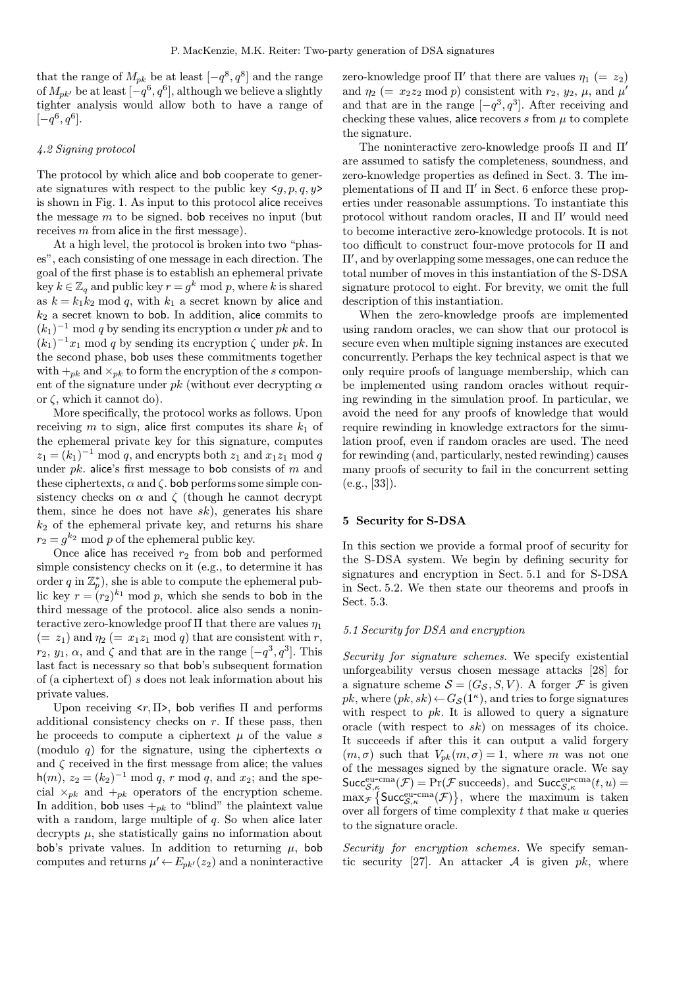that the range of  $M_{pk}$  be at least  $[-q^8, q^8]$  and the range of  $M_{pk'}$  be at least  $[-q^6, q^6]$ , although we believe a slightly tighter analysis would allow both to have a range of  $[-q^6, q^6].$ 

# 4.2 Signing protocol

The protocol by which alice and bob cooperate to generate signatures with respect to the public key  $\langle g, p, q, y \rangle$ is shown in Fig. 1. As input to this protocol alice receives the message  $m$  to be signed. bob receives no input (but receives m from alice in the first message).

At a high level, the protocol is broken into two "phases", each consisting of one message in each direction. The goal of the first phase is to establish an ephemeral private key  $k \in \mathbb{Z}_q$  and public key  $r = g^k \mod p$ , where k is shared as  $k = k_1 k_2 \mod q$ , with  $k_1$  a secret known by alice and  $k_2$  a secret known to bob. In addition, alice commits to  $(k_1)^{-1}$  mod q by sending its encryption  $\alpha$  under pk and to  $(k_1)^{-1}x_1 \mod q$  by sending its encryption  $\zeta$  under pk. In the second phase, bob uses these commitments together with  $+_{pk}$  and  $\times_{pk}$  to form the encryption of the s component of the signature under  $pk$  (without ever decrypting  $\alpha$ or ζ, which it cannot do).

More specifically, the protocol works as follows. Upon receiving m to sign, alice first computes its share  $k_1$  of the ephemeral private key for this signature, computes  $z_1 = (k_1)^{-1} \mod q$ , and encrypts both  $z_1$  and  $x_1z_1 \mod q$ under  $pk$ . alice's first message to bob consists of  $m$  and these ciphertexts,  $\alpha$  and  $\zeta$ . bob performs some simple consistency checks on  $\alpha$  and  $\zeta$  (though he cannot decrypt them, since he does not have  $sk$ ), generates his share  $k_2$  of the ephemeral private key, and returns his share  $r_2 = g^{k_2} \mod p$  of the ephemeral public key.

Once alice has received  $r_2$  from bob and performed simple consistency checks on it (e.g., to determine it has order q in  $\mathbb{Z}_p^*$ , she is able to compute the ephemeral public key  $r = (r_2)^{k_1} \mod p$ , which she sends to bob in the third message of the protocol. alice also sends a noninteractive zero-knowledge proof  $\Pi$  that there are values  $\eta_1$  $(= z_1)$  and  $\eta_2 (= x_1 z_1 \mod q)$  that are consistent with r,  $r_2, y_1, \alpha$ , and  $\zeta$  and that are in the range  $[-q^3, q^3]$ . This last fact is necessary so that bob's subsequent formation of (a ciphertext of) s does not leak information about his private values.

Upon receiving  $\langle r, \Pi \rangle$ , bob verifies  $\Pi$  and performs additional consistency checks on  $r$ . If these pass, then he proceeds to compute a ciphertext  $\mu$  of the value s (modulo q) for the signature, using the ciphertexts  $\alpha$ and  $\zeta$  received in the first message from alice; the values h(m),  $z_2 = (k_2)^{-1} \mod q$ , r mod q, and  $x_2$ ; and the special  $\times_{pk}$  and  $+_{pk}$  operators of the encryption scheme. In addition, bob uses  $+_{pk}$  to "blind" the plaintext value with a random, large multiple of  $q$ . So when alice later decrypts  $\mu$ , she statistically gains no information about bob's private values. In addition to returning  $\mu$ , bob computes and returns  $\mu' \leftarrow E_{pk'}(z_2)$  and a noninteractive zero-knowledge proof  $\Pi'$  that there are values  $\eta_1$  (=  $z_2$ ) and  $\eta_2$  (=  $x_2z_2 \mod p$ ) consistent with  $r_2, y_2, \mu$ , and  $\mu'$ and that are in the range  $[-q^3, q^3]$ . After receiving and checking these values, alice recovers  $s$  from  $\mu$  to complete the signature.

The noninteractive zero-knowledge proofs  $\Pi$  and  $\Pi'$ are assumed to satisfy the completeness, soundness, and zero-knowledge properties as defined in Sect. 3. The implementations of  $\Pi$  and  $\Pi'$  in Sect. 6 enforce these properties under reasonable assumptions. To instantiate this protocol without random oracles,  $\Pi$  and  $\Pi'$  would need to become interactive zero-knowledge protocols. It is not too difficult to construct four-move protocols for Π and Π , and by overlapping some messages, one can reduce the total number of moves in this instantiation of the S-DSA signature protocol to eight. For brevity, we omit the full description of this instantiation.

When the zero-knowledge proofs are implemented using random oracles, we can show that our protocol is secure even when multiple signing instances are executed concurrently. Perhaps the key technical aspect is that we only require proofs of language membership, which can be implemented using random oracles without requiring rewinding in the simulation proof. In particular, we avoid the need for any proofs of knowledge that would require rewinding in knowledge extractors for the simulation proof, even if random oracles are used. The need for rewinding (and, particularly, nested rewinding) causes many proofs of security to fail in the concurrent setting (e.g., [33]).

# 5 Security for S-DSA

In this section we provide a formal proof of security for the S-DSA system. We begin by defining security for signatures and encryption in Sect. 5.1 and for S-DSA in Sect. 5.2. We then state our theorems and proofs in Sect. 5.3.

#### 5.1 Security for DSA and encryption

Security for signature schemes. We specify existential unforgeability versus chosen message attacks [28] for a signature scheme  $S = (G_{\mathcal{S}}, S, V)$ . A forger  $\mathcal F$  is given pk, where  $(pk, sk) \leftarrow G_{\mathcal{S}}(1^{\kappa})$ , and tries to forge signatures with respect to  $pk$ . It is allowed to query a signature oracle (with respect to  $sk$ ) on messages of its choice. It succeeds if after this it can output a valid forgery  $(m, \sigma)$  such that  $V_{pk}(m, \sigma) = 1$ , where m was not one of the messages signed by the signature oracle. We say  $Succ_{\mathcal{S},\kappa}^{\text{eu-cma}}(\mathcal{F}) = \Pr(\mathcal{F} \text{ succeeds}), \text{ and } Succ_{\mathcal{S},\kappa}^{\text{eu-cma}}(t,u) =$  $\max_{\mathcal{F}} \left\{ \text{Succ}_{\mathcal{S},\kappa}^{\text{eu-cma}}(\mathcal{F}) \right\}$ , where the maximum is taken over all forgers of time complexity  $t$  that make  $u$  queries to the signature oracle.

Security for encryption schemes. We specify semantic security [27]. An attacker  $A$  is given  $pk$ , where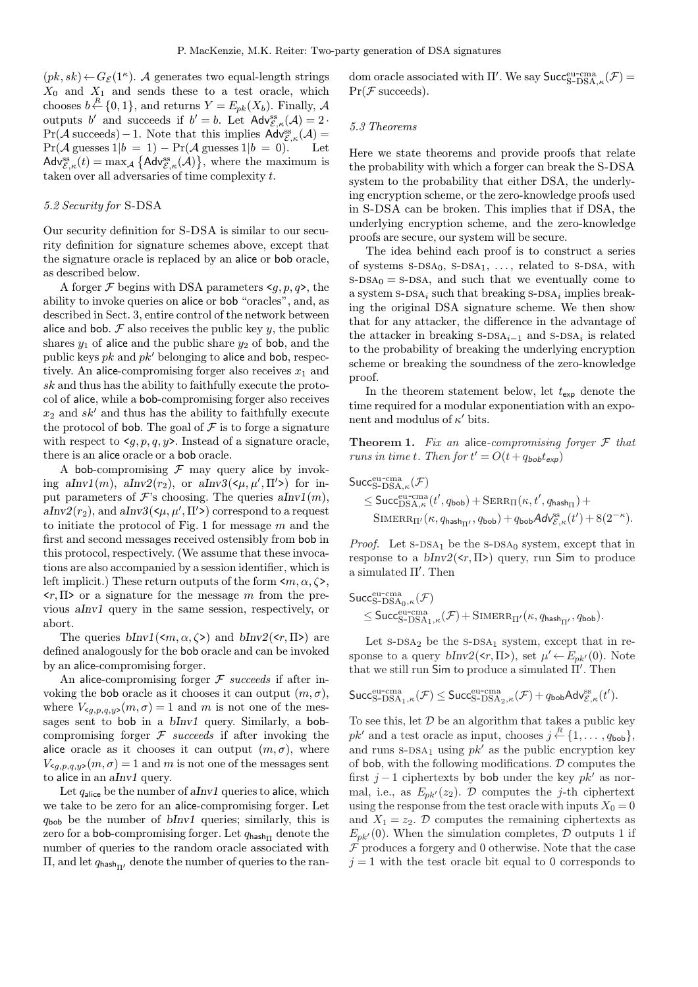$(pk, sk) \leftarrow G_{\mathcal{E}}(1^{\kappa})$ . A generates two equal-length strings  $X_0$  and  $X_1$  and sends these to a test oracle, which chooses  $b \stackrel{R}{\leftarrow} \{0,1\}$ , and returns  $Y = E_{pk}(X_b)$ . Finally, A outputs b' and succeeds if  $b' = b$ . Let  $\mathsf{Adv}^{\mathrm{ss}}_{\mathcal{E},\kappa}(\mathcal{A}) = 2$ .  $Pr(\mathcal{A} \text{ succeeds}) - 1.$  Note that this implies  $Adv_{\mathcal{E},\kappa}^{\text{ss}}(\mathcal{A}) =$  $Pr(A \text{ guesses } 1|b = 1) - Pr(A \text{ guesses } 1|b = 0).$  Let  $\mathsf{Adv}^{\mathrm{ss}}_{\mathcal{E},\kappa}(t) = \max_{\mathcal{A}} \left\{ \mathsf{Adv}^{\mathrm{ss}}_{\mathcal{E},\kappa}(\mathcal{A}) \right\}$ , where the maximum is taken over all adversaries of time complexity t.

#### 5.2 Security for S-DSA

Our security definition for S-DSA is similar to our security definition for signature schemes above, except that the signature oracle is replaced by an alice or bob oracle, as described below.

A forger  $\mathcal F$  begins with DSA parameters  $\langle q, p, q \rangle$ , the ability to invoke queries on alice or bob "oracles", and, as described in Sect. 3, entire control of the network between alice and bob.  $\mathcal F$  also receives the public key  $y$ , the public shares  $y_1$  of alice and the public share  $y_2$  of bob, and the public keys  $pk$  and  $pk'$  belonging to alice and bob, respectively. An alice-compromising forger also receives  $x_1$  and sk and thus has the ability to faithfully execute the protocol of alice, while a bob-compromising forger also receives  $x_2$  and sk' and thus has the ability to faithfully execute the protocol of bob. The goal of  $\mathcal F$  is to forge a signature with respect to  $\leq g, p, q, y$ . Instead of a signature oracle, there is an alice oracle or a bob oracle.

A bob-compromising  $\mathcal F$  may query alice by invoking  $aInv1(m)$ ,  $aInv2(r_2)$ , or  $aInv3(\langle \mu, \mu', \Pi' \rangle)$  for input parameters of  $\mathcal{F}$ 's choosing. The queries aInv1(m),  $aInv2(r_2)$ , and  $aInv3(\langle \mu, \mu', \Pi' \rangle)$  correspond to a request to initiate the protocol of Fig. 1 for message  $m$  and the first and second messages received ostensibly from bob in this protocol, respectively. (We assume that these invocations are also accompanied by a session identifier, which is left implicit.) These return outputs of the form  $\langle m, \alpha, \zeta \rangle$ ,  $\langle r, \Pi \rangle$  or a signature for the message m from the previous aInv1 query in the same session, respectively, or abort.

The queries  $bInv1(\langle m, \alpha, \zeta \rangle)$  and  $bInv2(\langle r, \Pi \rangle)$  are defined analogously for the bob oracle and can be invoked by an alice-compromising forger.

An alice-compromising forger  $\mathcal F$  succeeds if after invoking the bob oracle as it chooses it can output  $(m, \sigma)$ , where  $V_{\leq g, p, q, y\geq}(m, \sigma) = 1$  and m is not one of the messages sent to bob in a bInv1 query. Similarly, a bobcompromising forger  $\mathcal F$  succeeds if after invoking the alice oracle as it chooses it can output  $(m, \sigma)$ , where  $V_{\leq q, p, q, y>}(m, \sigma) = 1$  and m is not one of the messages sent to alice in an aInv1 query.

Let  $q_{\text{alice}}$  be the number of aInv1 queries to alice, which we take to be zero for an alice-compromising forger. Let  $q_{\text{bob}}$  be the number of  $bInv1$  queries; similarly, this is zero for a bob-compromising forger. Let  $q_{\text{hash}_{\Pi}}$  denote the number of queries to the random oracle associated with  $\Pi$ , and let  $q_{\text{hash}_{\Pi'}}$  denote the number of queries to the ran-

dom oracle associated with  $\Pi'$ . We say  $\mathsf{Succ}_{\mathsf{S-DSA},\kappa}^{\mathsf{eu-cma}}(\mathcal{F}) =$  $Pr(\mathcal{F} \text{ succeeds}).$ 

#### 5.3 Theorems

Here we state theorems and provide proofs that relate the probability with which a forger can break the S-DSA system to the probability that either DSA, the underlying encryption scheme, or the zero-knowledge proofs used in S-DSA can be broken. This implies that if DSA, the underlying encryption scheme, and the zero-knowledge proofs are secure, our system will be secure.

The idea behind each proof is to construct a series of systems  $S-DSA_0$ ,  $S-DSA_1$ , ..., related to  $S-DSA$ , with  $s\text{-}DSA_0 = s\text{-}DSA$ , and such that we eventually come to a system  $S-DSA_i$  such that breaking  $S-DSA_i$  implies breaking the original DSA signature scheme. We then show that for any attacker, the difference in the advantage of the attacker in breaking  $S-DSA_{i-1}$  and  $S-DSA_i$  is related to the probability of breaking the underlying encryption scheme or breaking the soundness of the zero-knowledge proof.

In the theorem statement below, let  $t_{\text{exp}}$  denote the time required for a modular exponentiation with an exponent and modulus of  $\kappa'$  bits.

**Theorem 1.** Fix an alice-compromising forger  $F$  that runs in time t. Then for  $t' = O(t+q_{\text{bob}}t_{\text{exp}})$ 

$$
\begin{aligned} \mathsf{Succ}_{\mathsf{S-DSA},\kappa}^{\mathrm{eu-cma}}(\mathcal{F})\\ \leq \mathsf{Succ}_{\mathsf{DSA},\kappa}^{\mathrm{eu-cma}}(t',q_{\mathsf{bob}}) + \mathsf{SERR}_{\Pi}(\kappa,t',q_{\mathsf{hash}_{\Pi}}) +\\ \mathsf{SIMERR}_{\Pi'}(\kappa,q_{\mathsf{hash}_{\Pi'}},q_{\mathsf{bob}}) + q_{\mathsf{bob}}\mathsf{Adv}_{\mathcal{E},\kappa}^{\mathsf{ss}}(t') + 8(2^{-\kappa}). \end{aligned}
$$

*Proof.* Let  $s$ -DSA<sub>1</sub> be the  $s$ -DSA<sub>0</sub> system, except that in response to a  $bInv2(\langle r, \Pi \rangle)$  query, run Sim to produce a simulated Π . Then

$$
\begin{aligned} &\mathsf{Succ}_{\mathsf{S-DSA}_0,\kappa}^{\mathrm{eu-cma}}(\mathcal{F}) \\ &\leq \mathsf{Succ}_{\mathsf{S-DSA}_1,\kappa}^{\mathrm{eu-cma}}(\mathcal{F}) + \mathsf{SIMERR}_{\Pi'}(\kappa,q_{\mathsf{hash}_{\Pi'}},q_{\mathsf{bob}}). \end{aligned}
$$

Let  $s$ -DSA<sub>2</sub> be the  $s$ -DSA<sub>1</sub> system, except that in response to a query  $bInv2(\langle r, \Pi \rangle)$ , set  $\mu' \leftarrow E_{pk'}(0)$ . Note that we still run  $Sim$  to produce a simulated  $\Pi'$ . Then

$$
\mathsf{Succ}_{\mathsf{S-DSA}_1,\kappa}^{\mathrm{eu-cma}}(\mathcal{F}) \leq \mathsf{Succ}_{\mathsf{S-DSA}_2,\kappa}^{\mathrm{eu-cma}}(\mathcal{F}) + q_{\mathsf{bob}}\mathsf{Adv}_{\mathcal{E},\kappa}^{\mathrm{ss}}(t').
$$

To see this, let  $D$  be an algorithm that takes a public key  $pk'$  and a test oracle as input, chooses  $j \stackrel{R}{\leftarrow} \{1, \ldots, q_{\text{bob}}\},$ and runs  $S-DSA_1$  using  $pk'$  as the public encryption key of bob, with the following modifications.  $D$  computes the first j −1 ciphertexts by bob under the key  $pk'$  as normal, i.e., as  $E_{pk'}(z_2)$ . D computes the j-th ciphertext using the response from the test oracle with inputs  $X_0 = 0$ and  $X_1 = z_2$ . D computes the remaining ciphertexts as  $E_{pk'}(0)$ . When the simulation completes,  $\mathcal{D}$  outputs 1 if  $F$  produces a forgery and 0 otherwise. Note that the case  $j = 1$  with the test oracle bit equal to 0 corresponds to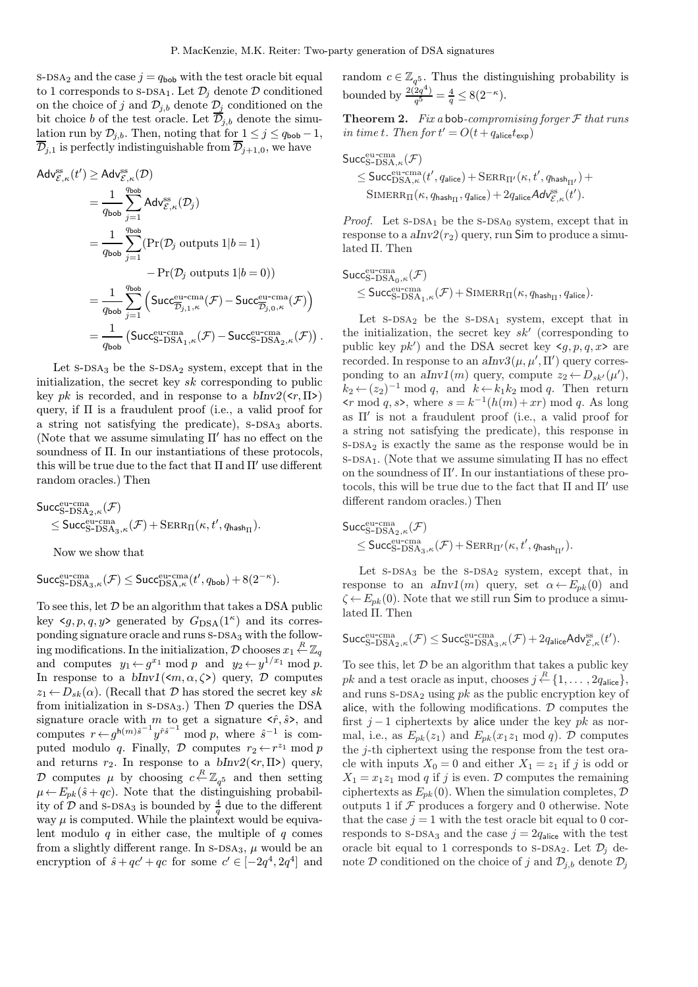s-DSA<sub>2</sub> and the case  $j = q_{\text{bob}}$  with the test oracle bit equal to 1 corresponds to s-DSA<sub>1</sub>. Let  $\mathcal{D}_i$  denote D conditioned on the choice of j and  $\mathcal{D}_{j,b}$  denote  $\mathcal{D}_j$  conditioned on the bit choice b of the test oracle. Let  $\overline{\mathcal{D}}_{j,b}$  denote the simulation run by  $\mathcal{D}_{i,b}$ . Then, noting that for  $1 \leq j \leq q_{\text{bob}} - 1$ ,  $\overline{\mathcal{D}}_{i,1}$  is perfectly indistinguishable from  $\overline{\mathcal{D}}_{i+1,0}$ , we have

$$
\begin{aligned} \mathsf{Adv}^{\mathrm{ss}}_{\mathcal{E},\kappa}(t') &\geq \mathsf{Adv}^{\mathrm{ss}}_{\mathcal{E},\kappa}(\mathcal{D}) \\ &= \frac{1}{q_{\mathsf{bob}}}\sum_{j=1}^{q_{\mathsf{bob}}} \mathsf{Adv}^{\mathrm{ss}}_{\mathcal{E},\kappa}(\mathcal{D}_{j}) \\ &= \frac{1}{q_{\mathsf{bob}}}\sum_{j=1}^{q_{\mathsf{bob}}} (\Pr(\mathcal{D}_{j} \text{ outputs } 1|b=1) \\ & - \Pr(\mathcal{D}_{j} \text{ outputs } 1|b=0)) \\ &= \frac{1}{q_{\mathsf{bob}}}\sum_{j=1}^{q_{\mathsf{bob}}} \left(\mathsf{Succ}^{\mathrm{eu-cma}}_{\overline{\mathcal{D}}_{j,1},\kappa}(\mathcal{F}) - \mathsf{Succ}^{\mathrm{eu-cma}}_{\overline{\mathcal{D}}_{j,0},\kappa}(\mathcal{F})\right) \\ &= \frac{1}{q_{\mathsf{bob}}}\left(\mathsf{Succ}^{\mathrm{eu-cma}}_{\mathrm{S-DSA}_{1},\kappa}(\mathcal{F}) - \mathsf{Succ}^{\mathrm{eu-cma}}_{\mathrm{S-DSA}_{2},\kappa}(\mathcal{F})\right). \end{aligned}
$$

Let  $s$ -DSA<sub>3</sub> be the  $s$ -DSA<sub>2</sub> system, except that in the initialization, the secret key  $sk$  corresponding to public key pk is recorded, and in response to a  $bInv2(\langle r, \Pi \rangle)$ query, if  $\Pi$  is a fraudulent proof (i.e., a valid proof for a string not satisfying the predicate),  $S-DSA<sub>3</sub>$  aborts. (Note that we assume simulating  $\Pi'$  has no effect on the soundness of Π. In our instantiations of these protocols, this will be true due to the fact that  $\Pi$  and  $\Pi'$  use different random oracles.) Then

$$
\begin{aligned} &\mathsf{Succ}_{\mathrm{S-DSA}_2,\kappa}^{\mathrm{eu-cma}}(\mathcal{F}) \\ &\leq \mathsf{Succ}_{\mathrm{S-DSA}_3,\kappa}^{\mathrm{eu-cma}}(\mathcal{F}) + \mathrm{SER}_{\Pi}(\kappa,t',q_{\mathsf{hash}_{\Pi}}). \end{aligned}
$$

Now we show that

$$
\mathsf{Succ}_{\mathsf{S-DSA}_3,\kappa}^{\mathrm{eu-cma}}(\mathcal{F})\leq \mathsf{Succ}_{\mathsf{DSA},\kappa}^{\mathrm{eu-cma}}(t',q_{\mathsf{bob}}) + 8(2^{-\kappa}).
$$

To see this, let  $D$  be an algorithm that takes a DSA public key  $\langle g, p, q, y \rangle$  generated by  $G_{\text{DSA}}(1^{\kappa})$  and its corresponding signature oracle and runs S-DSA<sub>3</sub> with the follow- $\mathcal{L}$  modifications. In the initialization,  $\mathcal D$  chooses  $x_1 \stackrel{R}{\leftarrow} \mathbb{Z}_q$ and computes  $y_1 \leftarrow q^{x_1} \mod p$  and  $y_2 \leftarrow y^{1/x_1} \mod p$ . In response to a  $bInv1(\langle m, \alpha, \zeta \rangle)$  query,  $\mathcal D$  computes  $z_1 \leftarrow D_{sk}(\alpha)$ . (Recall that D has stored the secret key sk from initialization in s-DSA<sub>3</sub>.) Then  $D$  queries the DSA signature oracle with m to get a signature  $\langle \hat{r}, \hat{s} \rangle$ , and computes  $r \leftarrow g^{h(m)s^{-1}} y^{\hat{r}s^{-1}} \mod p$ , where  $\hat{s}^{-1}$  is computed modulo q. Finally,  $D$  computes  $r_2 \leftarrow r^{z_1} \mod p$ and returns  $r_2$ . In response to a  $bInv2(\langle r, \Pi \rangle)$  query, D computes  $\mu$  by choosing  $c \stackrel{R}{\leftarrow} \mathbb{Z}_q$  and then setting  $\mu \leftarrow E_{pk}(\hat{s} + qc)$ . Note that the distinguishing probability of  $\mathcal{D}$  and S-DSA<sub>3</sub> is bounded by  $\frac{4}{q}$  due to the different way  $\mu$  is computed. While the plaintext would be equivalent modulo  $q$  in either case, the multiple of  $q$  comes from a slightly different range. In  $S-DSA_3$ ,  $\mu$  would be an encryption of  $\hat{s} + qc' + qc$  for some  $c' \in [-2q^4, 2q^4]$  and random  $c \in \mathbb{Z}_{q^5}$ . Thus the distinguishing probability is bounded by  $\frac{2(2q^4)}{q^5} = \frac{4}{q} \leq 8(2^{-\kappa}).$ 

**Theorem 2.** Fix a bob-compromising forger  $F$  that runs in time t. Then for  $t' = O(t+q_{\text{alice}}t_{\text{exp}})$ 

$$
\begin{aligned} \mathsf{Succ}_{\mathsf{S-DSA},\kappa}^{\mathsf{eu-cma}}(\mathcal{F})\\ \leq \mathsf{Succ}_{\mathsf{DSA},\kappa}^{\mathsf{eu-cma}}(t',q_{\mathsf{alice}}) + \mathsf{SER}_{\Pi'}(\kappa,t',q_{\mathsf{hash}_{\Pi'}}) +\\ \mathsf{SIMERR}_{\Pi}(\kappa,q_{\mathsf{hash}_{\Pi}},q_{\mathsf{alice}}) + 2q_{\mathsf{alice}}\mathsf{Adv}_{\mathcal{E},\kappa}^{\mathsf{ss}}(t'). \end{aligned}
$$

*Proof.* Let s-DSA<sub>1</sub> be the s-DSA<sub>0</sub> system, except that in response to a  $aInv2(r_2)$  query, run Sim to produce a simulated Π. Then

$$
\begin{aligned} &\mathsf{Succ}_{\mathsf{S-DSA}_0,\kappa}^{\mathrm{eu-cma}}(\mathcal{F})\\ &\leq \mathsf{Succ}_{\mathsf{S-DSA}_1,\kappa}^{\mathrm{eu-cma}}(\mathcal{F}) + \mathsf{SIMERR}_\Pi(\kappa,q_{\mathsf{hash}_\Pi},q_{\mathsf{alice}}). \end{aligned}
$$

Let  $s$ -DSA<sub>2</sub> be the  $s$ -DSA<sub>1</sub> system, except that in the initialization, the secret key  $sk'$  (corresponding to public key  $pk'$  and the DSA secret key  $\langle g, p, q, x \rangle$  are recorded. In response to an  $\frac{aI_n}{3}(\mu, \mu', \Pi')$  query corresponding to an aInv1(m) query, compute  $z_2 \leftarrow D_{sk'}(\mu'),$  $k_2 \leftarrow (z_2)^{-1} \mod q$ , and  $k \leftarrow k_1 k_2 \mod q$ . Then return  $\langle r \bmod q, s \rangle$ , where  $s = k^{-1}(h(m) + xr) \bmod q$ . As long as  $\Pi'$  is not a fraudulent proof (i.e., a valid proof for a string not satisfying the predicate), this response in  $S-DSA<sub>2</sub>$  is exactly the same as the response would be in s- $DSA_1$ . (Note that we assume simulating  $\Pi$  has no effect on the soundness of  $\Pi'$ . In our instantiations of these protocols, this will be true due to the fact that  $\Pi$  and  $\Pi'$  use different random oracles.) Then

$$
\begin{aligned} &\mathsf{Succ}_{\mathrm{S-DSA}_2,\kappa}^{\mathrm{eu-cma}}(\mathcal{F}) \\ &\leq \mathsf{Succ}_{\mathrm{S-DSA}_3,\kappa}^{\mathrm{eu-cma}}(\mathcal{F}) + \mathsf{SER}_{\Pi'}(\kappa,t',q_{\mathsf{hash}_{\Pi'}}). \end{aligned}
$$

Let  $s$ -DSA<sub>3</sub> be the  $s$ -DSA<sub>2</sub> system, except that, in response to an aInv1(m) query, set  $\alpha \leftarrow E_{pk}(0)$  and  $\zeta \leftarrow E_{pk}(0)$ . Note that we still run Sim to produce a simulated Π. Then

$$
\mathsf{Succ}_{\mathsf{S-DSA}_2,\kappa}^{\mathrm{eu-cma}}(\mathcal{F}) \leq \mathsf{Succ}_{\mathsf{S-DSA}_3,\kappa}^{\mathrm{eu-cma}}(\mathcal{F}) + 2q_{\mathsf{alice}}\mathsf{Adv}_{\mathcal{E},\kappa}^{\mathrm{ss}}(t').
$$

To see this, let  $D$  be an algorithm that takes a public key pk and a test oracle as input, chooses  $j \stackrel{R}{\leftarrow} \{1, \ldots, 2q_{\text{alice}}\},\$ and runs  $S-DSA<sub>2</sub>$  using pk as the public encryption key of alice, with the following modifications.  $D$  computes the first  $j-1$  ciphertexts by alice under the key pk as normal, i.e., as  $E_{pk}(z_1)$  and  $E_{pk}(x_1z_1 \mod q)$ . D computes the j-th ciphertext using the response from the test oracle with inputs  $X_0 = 0$  and either  $X_1 = z_1$  if j is odd or  $X_1 = x_1z_1 \mod q$  if j is even. D computes the remaining ciphertexts as  $E_{nk}(0)$ . When the simulation completes,  $\mathcal{D}$ outputs 1 if  $\mathcal F$  produces a forgery and 0 otherwise. Note that the case  $j = 1$  with the test oracle bit equal to 0 corresponds to s-DSA<sub>3</sub> and the case  $j = 2q_{\text{alice}}$  with the test oracle bit equal to 1 corresponds to s-DSA<sub>2</sub>. Let  $\mathcal{D}_i$  denote D conditioned on the choice of j and  $\mathcal{D}_{i,b}$  denote  $\mathcal{D}_i$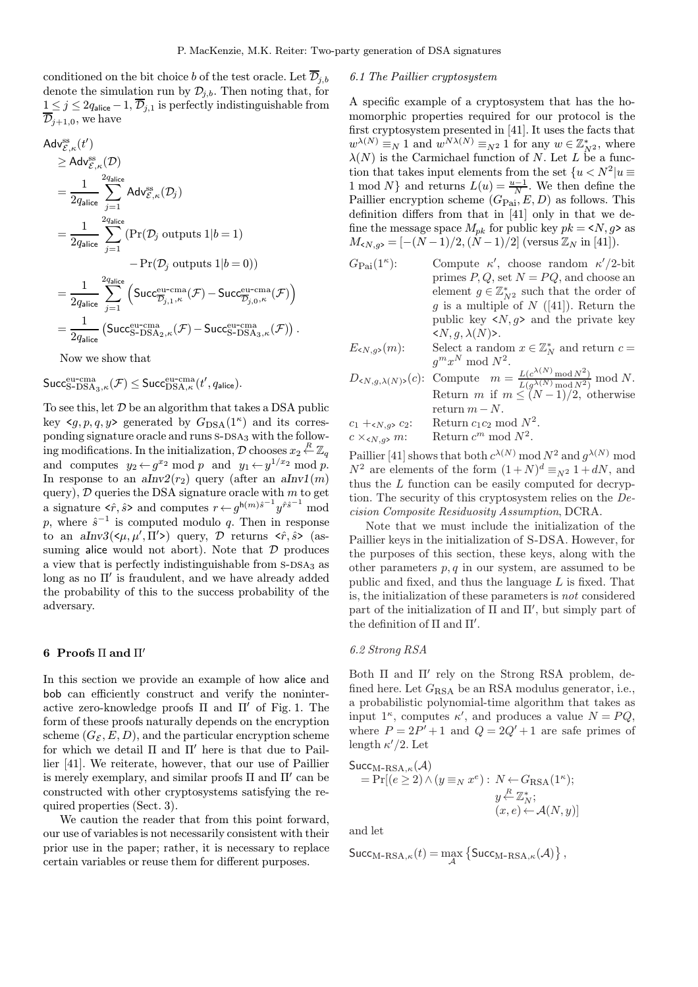conditioned on the bit choice b of the test oracle. Let  $\overline{\mathcal{D}}_{i,b}$ denote the simulation run by  $\mathcal{D}_{i,b}$ . Then noting that, for  $1 \leq j \leq 2q_{\text{alice}} - 1$ ,  $\overline{\mathcal{D}}_{j,1}$  is perfectly indistinguishable from  $\overline{\mathcal{D}}_{j+1,0}$ , we have

$$
\begin{aligned} &\mathsf{Adv}^{\mathsf{ss}}_{\mathcal{E},\kappa}(t')\\ &\geq \mathsf{Adv}^{\mathsf{ss}}_{\mathcal{E},\kappa}(\mathcal{D})\\ &=\frac{1}{2q_{\mathsf{alice}}}\sum_{j=1}^{2q_{\mathsf{alice}}}\mathsf{Adv}^{\mathsf{ss}}_{\mathcal{E},\kappa}(\mathcal{D}_{j})\\ &=\frac{1}{2q_{\mathsf{alice}}}\sum_{j=1}^{2q_{\mathsf{alice}}} \left(\Pr(\mathcal{D}_{j} \text{ outputs } 1 | b=1)\right.\\ &\quad \ -\Pr(\mathcal{D}_{j} \text{ outputs } 1 | b=0))\\ &=\frac{1}{2q_{\mathsf{alice}}}\sum_{j=1}^{2q_{\mathsf{alice}}}\left(\mathsf{Succ}^{\mathsf{eu-cma}}_{\overline{\mathcal{D}}_{j,1},\kappa}(\mathcal{F})-\mathsf{Succ}^{\mathsf{eu-cma}}_{\overline{\mathcal{D}}_{j,0},\kappa}(\mathcal{F})\right)\\ &=\frac{1}{2q_{\mathsf{alice}}}\left(\mathsf{Succ}^{\mathsf{eu-cma}}_{\mathsf{S-DSA}_{2},\kappa}(\mathcal{F})-\mathsf{Succ}^{\mathsf{eu-cma}}_{\mathsf{S-DSA}_{3},\kappa}(\mathcal{F})\right).\end{aligned}
$$

Now we show that

 $\mathsf{Succ}_{\mathsf{S-DSA}_3,\kappa}^{\mathsf{eu-cma}}(\mathcal{F}) \leq \mathsf{Succ}_{\mathsf{DSA},\kappa}^{\mathsf{eu-cma}}(t',q_{\mathsf{alice}}).$ 

To see this, let  $D$  be an algorithm that takes a DSA public key  $\langle g, p, q, y \rangle$  generated by  $G_{\text{DSA}}(1^{\kappa})$  and its corresponding signature oracle and runs  $S-DSA_3$  with the follow- $\mathcal{L}$  modifications. In the initialization,  $\mathcal D$  chooses  $x_2 \stackrel{R}{\leftarrow} \mathbb{Z}_q$ and computes  $y_2 \leftarrow g^{x_2} \mod p$  and  $y_1 \leftarrow y^{1/x_2} \mod p$ . In response to an aInv2( $r_2$ ) query (after an aInv1(m) query),  $D$  queries the DSA signature oracle with  $m$  to get a signature  $\langle \hat{r}, \hat{s} \rangle$  and computes  $r \leftarrow g^{h(m)\hat{s}^{-1}} y^{\hat{r}\hat{s}^{-1}}$  mod p, where  $\hat{s}^{-1}$  is computed modulo q. Then in response to an  $aInv3(\langle \mu, \mu', \Pi' \rangle)$  query,  $D$  returns  $\langle \hat{r}, \hat{s} \rangle$  (assuming alice would not abort). Note that  $D$  produces a view that is perfectly indistinguishable from  $s$ -DSA<sub>3</sub> as long as no  $\Pi'$  is fraudulent, and we have already added the probability of this to the success probability of the adversary.

#### 6 Proofs Π and Π

In this section we provide an example of how alice and bob can efficiently construct and verify the noninteractive zero-knowledge proofs  $\Pi$  and  $\Pi'$  of Fig. 1. The form of these proofs naturally depends on the encryption scheme  $(G_{\mathcal{E}}, E, D)$ , and the particular encryption scheme for which we detail  $\Pi$  and  $\Pi'$  here is that due to Paillier [41]. We reiterate, however, that our use of Paillier is merely exemplary, and similar proofs  $\Pi$  and  $\Pi'$  can be constructed with other cryptosystems satisfying the required properties (Sect. 3).

We caution the reader that from this point forward, our use of variables is not necessarily consistent with their prior use in the paper; rather, it is necessary to replace certain variables or reuse them for different purposes.

#### 6.1 The Paillier cryptosystem

A specific example of a cryptosystem that has the homomorphic properties required for our protocol is the first cryptosystem presented in [41]. It uses the facts that  $w^{\lambda(N)} \equiv_N 1$  and  $w^{N\lambda(N)} \equiv_{N^2} 1$  for any  $w \in \mathbb{Z}_{N^2}^*$ , where  $\lambda(N)$  is the Carmichael function of N. Let L be a function that takes input elements from the set  $\{u < N^2 | u \equiv$ 1 mod N} and returns  $L(u) = \frac{u-1}{N}$ . We then define the Paillier encryption scheme  $(G_{\text{Pai}}, E, D)$  as follows. This definition differs from that in [41] only in that we define the message space  $M_{pk}$  for public key  $pk = \langle N, g \rangle$  as  $M_{\leq N,g} = [-(N-1)/2, (N-1)/2]$  (versus  $\mathbb{Z}_N$  in [41]).

$$
G_{\text{Pai}}(1^{\kappa})
$$
: Compute  $\kappa'$ , choose random  $\kappa'/2$ -bit  
primes  $P, Q$ , set  $N = PQ$ , and choose an  
element  $g \in \mathbb{Z}_{N^2}^*$  such that the order of  
 $g$  is a multiple of  $N$  ([41]). Return the  
public key  $\langle N, g \rangle$  and the private key  
 $\langle N, g, \lambda(N) \rangle$ .

 $E \lt N, g \gt (m)$ : Select a random  $x \in \mathbb{Z}_N^*$  and return  $c =$  $g^m x^N \bmod N^2$ .

$$
D_{\langle N,g,\lambda(N)\rangle}(c): \text{ Compute } m = \frac{L(c^{\lambda(N)} \mod N^2)}{L(g^{\lambda(N)} \mod N^2)} \mod N.
$$
  
\nReturn  $m$  if  $m \leq (N-1)/2$ , otherwise  
\nreturn  $m - N$ .  
\n $c_1 +_{\langle N,g \rangle} c_2$ : Return  $c_1 c_2 \mod N^2$ .  
\n $c \times_{\langle N,g \rangle} m$ : Return  $c^m \mod N^2$ .

Paillier [41] shows that both  $c^{\lambda(N)}$  mod  $N^2$  and  $g^{\lambda(N)}$  mod  $N^2$  are elements of the form  $(1+N)^d \equiv_{N^2} 1+dN$ , and thus the L function can be easily computed for decryption. The security of this cryptosystem relies on the Decision Composite Residuosity Assumption, DCRA.

Note that we must include the initialization of the Paillier keys in the initialization of S-DSA. However, for the purposes of this section, these keys, along with the other parameters  $p, q$  in our system, are assumed to be public and fixed, and thus the language  $L$  is fixed. That is, the initialization of these parameters is not considered part of the initialization of  $\Pi$  and  $\Pi'$ , but simply part of the definition of  $\Pi$  and  $\Pi'$ .

#### 6.2 Strong RSA

Both Π and Π' rely on the Strong RSA problem, defined here. Let  $G_{\text{RSA}}$  be an RSA modulus generator, i.e., a probabilistic polynomial-time algorithm that takes as input  $1^{\kappa}$ , computes  $\kappa'$ , and produces a value  $N = PQ$ , where  $P = 2P' + 1$  and  $Q = 2Q' + 1$  are safe primes of length  $\kappa'/2$ . Let

$$
\begin{aligned} \text{Succ}_{\mathbf{M}-\text{RSA},\kappa}(\mathcal{A})\\ &= \Pr[(e \ge 2) \land (y \equiv_N x^e) : N \leftarrow G_{\text{RSA}}(1^{\kappa});\\ & y \stackrel{R}{\leftarrow} \mathbb{Z}_N^*;\\ & (x,e) \leftarrow \mathcal{A}(N,y)] \end{aligned}
$$

and let

$$
\mathsf{Succ}_{\mathbf{M}\text{-}\mathbf{RSA},\kappa}(t) = \max_{\mathcal{A}} \left\{\mathsf{Succ}_{\mathbf{M}\text{-}\mathbf{RSA},\kappa}(\mathcal{A})\right\},
$$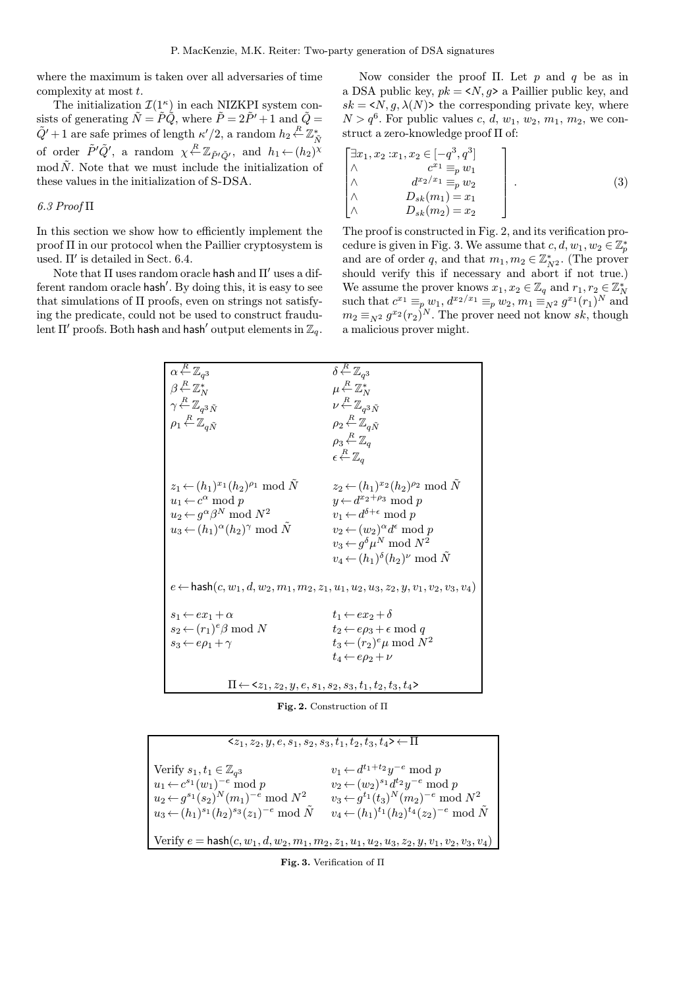where the maximum is taken over all adversaries of time complexity at most t.

The initialization  $\mathcal{I}(1^{\kappa})$  in each NIZKPI system consists of generating  $\tilde{N} = \tilde{P}\tilde{Q}$ , where  $\tilde{P} = 2\tilde{P}' + 1$  and  $\tilde{Q} =$  $\tilde{Q}'+1$  are safe primes of length  $\kappa'/2$ , a random  $h_2 \stackrel{R}{\leftarrow} \mathbb{Z}_{\tilde{N}}^*$ of order  $\tilde{P}'\tilde{Q}'$ , a random  $\chi \stackrel{R}{\leftarrow} \mathbb{Z}_{\tilde{P}'\tilde{Q}'}$ , and  $h_1 \leftarrow (h_2)^\chi$  $\text{mod }\tilde{N}$ . Note that we must include the initialization of these values in the initialization of S-DSA.

# 6.3 Proof Π

In this section we show how to efficiently implement the proof Π in our protocol when the Paillier cryptosystem is used.  $\Pi'$  is detailed in Sect. 6.4.

Note that  $\Pi$  uses random oracle hash and  $\Pi'$  uses a different random oracle hash'. By doing this, it is easy to see that simulations of Π proofs, even on strings not satisfying the predicate, could not be used to construct fraudulent  $\Pi'$  proofs. Both hash and hash' output elements in  $\mathbb{Z}_q$ .

Now consider the proof Π. Let  $p$  and  $q$  be as in a DSA public key,  $pk = \langle N, g \rangle$  a Paillier public key, and  $sk = \langle N, g, \lambda(N) \rangle$  the corresponding private key, where  $N>q^6$ . For public values c, d,  $w_1, w_2, m_1, m_2$ , we construct a zero-knowledge proof Π of:

$$
\begin{bmatrix}\n\exists x_1, x_2 : x_1, x_2 \in [-q^3, q^3] \\
\wedge & c^{x_1} \equiv_p w_1 \\
\wedge & d^{x_2/x_1} \equiv_p w_2 \\
\wedge & D_{sk}(m_1) = x_1 \\
\wedge & D_{sk}(m_2) = x_2\n\end{bmatrix} .
$$
\n(3)

The proof is constructed in Fig. 2, and its verification procedure is given in Fig. 3. We assume that  $c, d, w_1, w_2 \in \mathbb{Z}_p^*$ and are of order q, and that  $m_1, m_2 \in \mathbb{Z}_{N^2}^*$ . (The prover should verify this if necessary and abort if not true.) We assume the prover knows  $x_1, x_2 \in \mathbb{Z}_q$  and  $r_1, r_2 \in \mathbb{Z}_N^*$ such that  $c^{x_1} \equiv_p w_1, d^{x_2/x_1} \equiv_p w_2, m_1 \equiv_{N^2} g^{x_1}(r_1)^N$  and  $m_2 \equiv_{N^2} g^{x_2}(r_2)^N$ . The prover need not know  $sk$ , though a malicious prover might.

| $\alpha \stackrel{R}{\leftarrow} \mathbb{Z}_{q^3}$                                               | $\overline{\delta} \stackrel{R}{\leftarrow} \mathbb{Z}_{q^3}$                                      |
|--------------------------------------------------------------------------------------------------|----------------------------------------------------------------------------------------------------|
| $\beta \stackrel{R}{\leftarrow} \mathbb{Z}_N^*$                                                  | $\mu \stackrel{R}{\leftarrow} \mathbb{Z}_N^*$                                                      |
| $\gamma \stackrel{R}{\leftarrow} \mathbb{Z}_{a^3 \tilde{N}}$                                     | $\nu \stackrel{R}{\leftarrow} \mathbb{Z}_{a^3 \tilde{N}}$                                          |
| $\rho_1 \stackrel{R}{\leftarrow} \mathbb{Z}_{a\tilde{N}}$                                        | $\rho_2 \stackrel{R}{\leftarrow} \mathbb{Z}_{a\tilde{N}}$                                          |
|                                                                                                  | $\rho_3 \overset{R}{\leftarrow} \mathbb{Z}_a$                                                      |
|                                                                                                  | $\epsilon \stackrel{R}{\leftarrow} \mathbb{Z}_a$                                                   |
| $z_1 \leftarrow (h_1)^{x_1} (h_2)^{\rho_1} \text{ mod } N$<br>$u_1 \leftarrow c^{\alpha} \mod p$ | $z_2 \leftarrow (h_1)^{x_2} (h_2)^{\rho_2} \text{ mod } N$<br>$y \leftarrow d^{x_2+\rho_3} \mod p$ |
| $u_2 \leftarrow q^{\alpha} \beta^N \text{ mod } N^2$                                             | $v_1 \leftarrow d^{\delta+\epsilon} \mod p$                                                        |
| $u_3 \leftarrow (h_1)^{\alpha} (h_2)^{\gamma} \mod N$                                            | $v_2 \leftarrow (w_2)^{\alpha} d^{\epsilon} \mod p$                                                |
|                                                                                                  | $v_3 \leftarrow q^{\delta} \mu^N \mod N^2$                                                         |
|                                                                                                  | $v_4 \leftarrow (h_1)^{\delta} (h_2)^{\nu} \mod N$                                                 |
| $e \leftarrow$ hash $(c, w_1, d, w_2, m_1, m_2, z_1, u_1, u_2, u_3, z_2, y, v_1, v_2, v_3, v_4)$ |                                                                                                    |
| $s_1 \leftarrow ex_1 + \alpha$                                                                   | $t_1 \leftarrow ex_2 + \delta$                                                                     |
| $s_2 \leftarrow (r_1)^e \beta \mod N$                                                            | $t_2 \leftarrow e\rho_3 + \epsilon \mod q$                                                         |
| $s_3 \leftarrow e\rho_1 + \gamma$                                                                | $t_3 \leftarrow (r_2)^e \mu \mod N^2$                                                              |
|                                                                                                  | $t_4 \leftarrow e\rho_2 + \nu$                                                                     |
| $\Pi \leftarrow \langle z_1, z_2, y, e, s_1, s_2, s_3, t_1, t_2, t_3, t_4 \rangle$               |                                                                                                    |

Fig. 2. Construction of Π

| $\langle z_1, z_2, y, e, s_1, s_2, s_3, t_1, t_2, t_3, t_4 \rangle \leftarrow \Pi$                                                                                                                      |                                                                                                                                                                                                                     |
|---------------------------------------------------------------------------------------------------------------------------------------------------------------------------------------------------------|---------------------------------------------------------------------------------------------------------------------------------------------------------------------------------------------------------------------|
| Verify $s_1, t_1 \in \mathbb{Z}_{q^3}$<br>$u_1 \leftarrow c^{s_1}(w_1)^{-e} \mod p$<br>$u_2 \leftarrow g^{s_1}(s_2)^N(m_1)^{-e} \mod N^2$<br>$u_3 \leftarrow (h_1)^{s_1} (h_2)^{s_3} (z_1)^{-e} \mod N$ | $v_1 \leftarrow d^{t_1+t_2}y^{-e} \mod p$<br>$v_2 \leftarrow (w_2)^{s_1} d^{t_2} y^{-e} \mod p$<br>$v_3 \leftarrow g^{t_1}(t_3)^N(m_2)^{-e} \mod N^2$<br>$v_4 \leftarrow (h_1)^{t_1} (h_2)^{t_4} (z_2)^{-e} \mod N$ |
| Verify $e = \text{hash}(c, w_1, d, w_2, m_1, m_2, z_1, u_1, u_2, u_3, z_2, y, v_1, v_2, v_3, v_4)$                                                                                                      |                                                                                                                                                                                                                     |

Fig. 3. Verification of Π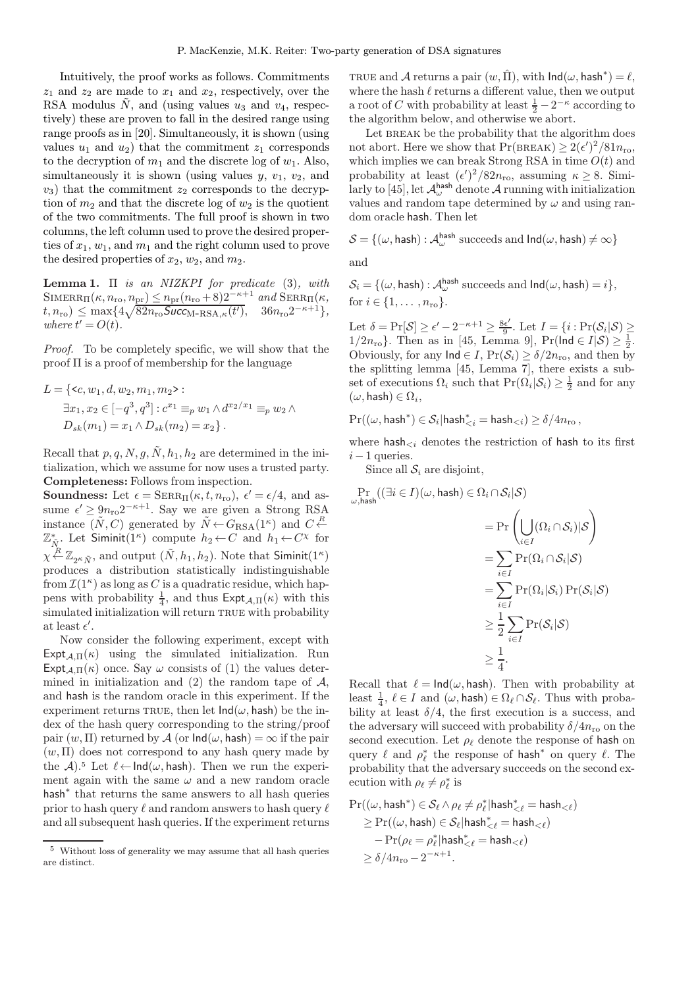Intuitively, the proof works as follows. Commitments  $z_1$  and  $z_2$  are made to  $x_1$  and  $x_2$ , respectively, over the RSA modulus  $\tilde{N}$ , and (using values  $u_3$  and  $v_4$ , respectively) these are proven to fall in the desired range using range proofs as in [20]. Simultaneously, it is shown (using values  $u_1$  and  $u_2$ ) that the commitment  $z_1$  corresponds to the decryption of  $m_1$  and the discrete log of  $w_1$ . Also, simultaneously it is shown (using values  $y, v_1, v_2$ , and  $v_3$ ) that the commitment  $z_2$  corresponds to the decryption of  $m_2$  and that the discrete log of  $w_2$  is the quotient of the two commitments. The full proof is shown in two columns, the left column used to prove the desired properties of  $x_1, w_1$ , and  $m_1$  and the right column used to prove the desired properties of  $x_2, w_2$ , and  $m_2$ .

Lemma 1.  $\Pi$  is an NIZKPI for predicate (3), with  $\text{SIMERR}_{\Pi}(\kappa, n_{\text{ro}}, n_{\text{pr}}) \le n_{\text{pr}}(n_{\text{ro}} + 8)2^{-\kappa+1}$  and  $\text{SERR}_{\Pi}(\kappa, n_{\text{ro}})$  $t, n_{\text{ro}}) \le \max\{4\sqrt{82n_{\text{ro}}\mathsf{Succ}_{\text{M-RSA},\kappa}(t')}, \quad 36n_{\text{ro}}2^{-\kappa+1}\},$ where  $t' = O(t)$ .

Proof. To be completely specific, we will show that the proof  $\Pi$  is a proof of membership for the language

$$
L = \{ \langle c, w_1, d, w_2, m_1, m_2 \rangle : \n\exists x_1, x_2 \in [-q^3, q^3] : c^{x_1} \equiv_p w_1 \wedge d^{x_2/x_1} \equiv_p w_2 \wedge \nD_{sk}(m_1) = x_1 \wedge D_{sk}(m_2) = x_2 \}.
$$

Recall that  $p, q, N, g, N, h_1, h_2$  are determined in the initialization, which we assume for now uses a trusted party. Completeness: Follows from inspection.

**Soundness:** Let  $\epsilon = \text{SERR}_{\Pi}(\kappa, t, n_{\text{ro}}), \epsilon' = \epsilon/4$ , and assume  $\epsilon' \ge 9n_{\rm ro}2^{-\kappa+1}$ . Say we are given a Strong RSA instance  $(\tilde{N}, C)$  generated by  $\tilde{N} \leftarrow G_{\text{RSA}}(1^{\kappa})$  and  $C \stackrel{R}{\leftarrow}$  $\mathbb{Z}_{\tilde{N}}^*$ . Let Siminit $(1^{\kappa})$  compute  $h_2 \leftarrow C$  and  $h_1 \leftarrow C^{\chi}$  for  $\chi \frac{R}{\leftarrow} \mathbb{Z}_{2^{\kappa} \tilde{N}}$ , and output  $(\tilde{N}, h_1, h_2)$ . Note that Siminit $(1^{\kappa})$ produces a distribution statistically indistinguishable from  $\mathcal{I}(1^{\kappa})$  as long as C is a quadratic residue, which happens with probability  $\frac{1}{4}$ , and thus  $\text{Expt}_{A,\Pi}(\kappa)$  with this simulated initialization will return TRUE with probability at least  $\epsilon'$ .

Now consider the following experiment, except with  $\mathsf{Expt}_{\mathcal{A},\Pi}(\kappa)$  using the simulated initialization. Run Expt<sub>A,Π</sub>( $\kappa$ ) once. Say  $\omega$  consists of (1) the values determined in initialization and  $(2)$  the random tape of  $A$ , and hash is the random oracle in this experiment. If the experiment returns TRUE, then let  $\text{Ind}(\omega, \text{hash})$  be the index of the hash query corresponding to the string/proof pair  $(w, \Pi)$  returned by  $\mathcal A$  (or  $\text{Ind}(\omega, \text{hash}) = \infty$  if the pair  $(w,\Pi)$  does not correspond to any hash query made by the  $\mathcal{A}$ ).<sup>5</sup> Let  $\ell \leftarrow \text{Ind}(\omega, \text{hash})$ . Then we run the experiment again with the same  $\omega$  and a new random oracle hash<sup>∗</sup> that returns the same answers to all hash queries prior to hash query  $\ell$  and random answers to hash query  $\ell$ and all subsequent hash queries. If the experiment returns TRUE and A returns a pair  $(w, \hat{\Pi})$ , with  $\text{Ind}(\omega, \text{hash}^*) = \ell$ , where the hash  $\ell$  returns a different value, then we output a root of C with probability at least  $\frac{1}{2} - 2^{-\kappa}$  according to the algorithm below, and otherwise we abort.

Let BREAK be the probability that the algorithm does not abort. Here we show that  $Pr(BREAK) \geq 2(\epsilon')^2/81n_{\rm ro}$ , which implies we can break Strong RSA in time  $O(t)$  and probability at least  $(\epsilon')^2/82n_{\rm ro}$ , assuming  $\kappa \geq 8$ . Similarly to [45], let  $\mathcal{A}^{\mathsf{hash}}_{\omega}$  denote  $\mathcal{A}$  running with initialization values and random tape determined by  $\omega$  and using random oracle hash. Then let

$$
\mathcal{S} = \{(\omega, \mathsf{hash}) : \mathcal{A}_\omega^{\mathsf{hash}} \text{ succeeds and } \mathsf{Ind}(\omega, \mathsf{hash}) \neq \infty\}
$$

and

 $\mathcal{S}_i = \{(\omega, \mathsf{hash}) : \mathcal{A}^{\mathsf{hash}}_\omega \text{ succeeds and } \mathsf{Ind}(\omega, \mathsf{hash}) = i\},$ for  $i \in \{1, ..., n_{\text{ro}}\}.$ 

Let  $\delta = \Pr[\mathcal{S}] \ge \epsilon' - 2^{-\kappa+1} \ge \frac{8\epsilon'}{9}$ . Let  $I = \{i : \Pr(\mathcal{S}_i|\mathcal{S}) \ge$  $1/2n_{\rm ro}$ . Then as in [45, Lemma 9], Pr(lnd  $\in I|\mathcal{S}) \geq \frac{1}{2}$ . Obviously, for any  $\text{Ind} \in I$ ,  $\Pr(\mathcal{S}_i) \ge \delta/2n_{\text{ro}}$ , and then by the splitting lemma [45, Lemma 7], there exists a subset of executions  $\Omega_i$  such that  $Pr(\Omega_i|\mathcal{S}_i) \geq \frac{1}{2}$  and for any  $(\omega, \text{hash}) \in \Omega_i$ ,

$$
\Pr((\omega,\mathsf{hash}^*)\in \mathcal{S}_i|\mathsf{hash}_{
$$

where  $\mathsf{hash}_{\leq i}$  denotes the restriction of hash to its first  $i-1$  queries.

Since all  $S_i$  are disjoint,

$$
\Pr_{\omega, \text{hash}}((\exists i \in I)(\omega, \text{hash}) \in \Omega_i \cap \mathcal{S}_i | \mathcal{S})
$$
\n
$$
= \Pr \left( \bigcup_{i \in I} (\Omega_i \cap \mathcal{S}_i) | \mathcal{S} \right)
$$
\n
$$
= \sum_{i \in I} \Pr(\Omega_i \cap \mathcal{S}_i | \mathcal{S})
$$
\n
$$
= \sum_{i \in I} \Pr(\Omega_i | \mathcal{S}_i) \Pr(\mathcal{S}_i | \mathcal{S})
$$
\n
$$
\geq \frac{1}{2} \sum_{i \in I} \Pr(\mathcal{S}_i | \mathcal{S})
$$
\n
$$
\geq \frac{1}{4}.
$$

Recall that  $\ell = \text{Ind}(\omega, \text{hash})$ . Then with probability at least  $\frac{1}{4}$ ,  $\ell \in I$  and  $(\omega, \text{hash}) \in \Omega_{\ell} \cap \mathcal{S}_{\ell}$ . Thus with probability at least  $\delta/4$ , the first execution is a success, and the adversary will succeed with probability  $\delta/4n_{\rm ro}$  on the second execution. Let  $\rho_{\ell}$  denote the response of hash on query  $\ell$  and  $\rho_{\ell}^{*}$  the response of hash<sup>\*</sup> on query  $\ell$ . The probability that the adversary succeeds on the second execution with  $\rho_{\ell} \neq \rho_{\ell}^*$  is

$$
\begin{aligned} \Pr((\omega,\mathsf{hash}^*)\in\mathcal{S}_\ell \wedge \rho_\ell \neq \rho_\ell^*|\mathsf{hash}_{<\ell}^*=\mathsf{hash}_{<\ell}) \\ \geq \Pr((\omega,\mathsf{hash})\in\mathcal{S}_\ell|\mathsf{hash}_{<\ell}^*=\mathsf{hash}_{<\ell}) \\ -\Pr(\rho_\ell=\rho_\ell^*|\mathsf{hash}_{<\ell}^*=\mathsf{hash}_{<\ell}) \\ \geq \delta/4n_{\mathrm{ro}}-2^{-\kappa+1}. \end{aligned}
$$

<sup>5</sup> Without loss of generality we may assume that all hash queries are distinct.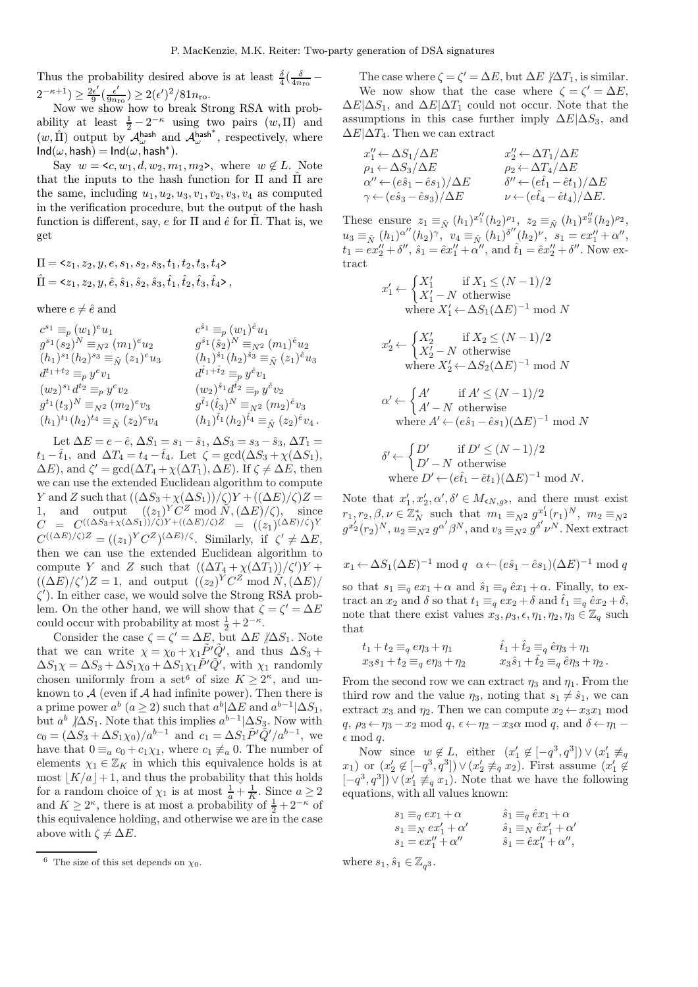Thus the probability desired above is at least  $\frac{\delta}{4}(\frac{\delta}{4n_{\rm ro}} 2^{-\kappa+1}) \ge \frac{2\epsilon'}{9} \left(\frac{\epsilon'}{9n_{\rm ro}}\right) \ge 2(\epsilon')^2/81n_{\rm ro}.$ 

Now we show how to break Strong RSA with probability at least  $\frac{1}{2} - 2^{-\kappa}$  using two pairs  $(w, \Pi)$  and  $(w, \hat{\Pi})$  output by  $\mathcal{A}_{\omega}^{\mathsf{hash}}$  and  $\mathcal{A}_{\omega}^{\mathsf{hash}^*}$ , respectively, where  $Ind(\omega, hash) = Ind(\omega, hash^*)$ .

Say  $w = \langle c, w_1, d, w_2, m_1, m_2 \rangle$ , where  $w \notin L$ . Note that the inputs to the hash function for  $\Pi$  and  $\Pi$  are the same, including  $u_1, u_2, u_3, v_1, v_2, v_3, v_4$  as computed in the verification procedure, but the output of the hash function is different, say, e for  $\Pi$  and  $\hat{e}$  for  $\Pi$ . That is, we get

$$
\Pi = \langle z_1, z_2, y, e, s_1, s_2, s_3, t_1, t_2, t_3, t_4 \rangle \n\hat{\Pi} = \langle z_1, z_2, y, \hat{e}, \hat{s}_1, \hat{s}_2, \hat{s}_3, \hat{t}_1, \hat{t}_2, \hat{t}_3, \hat{t}_4 \rangle,
$$

where  $e \neq \hat{e}$  and

$$
c^{s_1} \equiv_p (w_1)^e u_1
$$
\n
$$
c^{s_1} \equiv_p (w_1)^{\hat{e}} u_1
$$
\n
$$
c^{s_1} \equiv_p (w_1)^{\hat{e}} u_1
$$
\n
$$
c^{s_1} \equiv_p (w_1)^{\hat{e}} u_1
$$
\n
$$
(h_1)^{s_1} (h_2)^{s_3} \equiv_{\tilde{N}} (z_1)^e u_3
$$
\n
$$
d^{t_1+t_2} \equiv_p y^e v_1
$$
\n
$$
(w_2)^{s_1} d^{t_2} \equiv_p y^e v_2
$$
\n
$$
g^{t_1} (t_3)^N \equiv_{N^2} (m_2)^e v_3
$$
\n
$$
(h_1)^{t_1} (h_2)^{t_4} \equiv_{\tilde{N}} (z_2)^e v_4
$$
\n
$$
(h_1)^{t_1} (h_2)^{t_4} \equiv_{\tilde{N}} (z_2)^{\hat{e}} v_4
$$
\n
$$
(h_1)^{t_1} (h_2)^{t_4} \equiv_{\tilde{N}} (z_2)^{\hat{e}} v_4
$$

Let  $\Delta E = e - \hat{e}$ ,  $\Delta S_1 = s_1 - \hat{s}_1$ ,  $\Delta S_3 = s_3 - \hat{s}_3$ ,  $\Delta T_1 =$  $t_1 - \hat{t}_1$ , and  $\Delta T_4 = t_4 - \hat{t}_4$ . Let  $\zeta = \gcd(\Delta S_3 + \chi(\Delta S_1)),$  $\Delta E$ ), and  $\zeta' = \gcd(\Delta T_4 + \chi(\Delta T_1), \Delta E)$ . If  $\zeta \neq \Delta E$ , then we can use the extended Euclidean algorithm to compute Y and Z such that  $((\Delta S_3 + \chi(\Delta S_1))/\zeta)Y + ((\Delta E)/\zeta)Z =$ 1, and output  $((z_1)^Y C^Z \mod N, (\Delta E)/\zeta),$  since  $C = C^{((\Delta S_3 + \chi(\Delta S_1))/\zeta)Y + ((\Delta E)/\zeta)Z} = ((z_1)^{(\Delta E)/\zeta})^Y$  $C^{((\Delta E)/\zeta)Z} = ((z_1)^Y C^Z)^{(\Delta E)/\zeta}$ . Similarly, if  $\zeta' \neq \Delta E$ , then we can use the extended Euclidean algorithm to compute Y and Z such that  $((\Delta T_4 + \chi(\Delta T_1))/\zeta')Y +$  $((\Delta E)/\zeta')Z = 1$ , and output  $((z_2)^{\gamma}C^{\gamma}C^{\gamma}$  mod  $\widetilde{N}, (\Delta E)/\zeta$ ζ ). In either case, we would solve the Strong RSA problem. On the other hand, we will show that  $\zeta = \zeta' = \Delta E$ could occur with probability at most  $\frac{1}{2} + 2^{-\kappa}$ .

Consider the case  $\zeta = \zeta' = \Delta E$ , but  $\Delta E / \Delta S_1$ . Note that we can write  $\chi = \chi_0 + \chi_1 \tilde{P}' \tilde{Q}'$ , and thus  $\Delta S_3 +$  $\Delta S_1 \chi = \Delta S_3 + \Delta S_1 \chi_0 + \Delta S_1 \chi_1 \tilde{P}' \tilde{Q}'$ , with  $\chi_1$  randomly chosen uniformly from a set<sup>6</sup> of size  $K \geq 2^{\kappa}$ , and unknown to  $A$  (even if  $A$  had infinite power). Then there is a prime power  $a^b$  ( $a \geq 2$ ) such that  $a^b|\Delta E$  and  $a^{b-1}|\Delta S_1$ , but  $a^b$   $/\Delta S_1$ . Note that this implies  $a^{b-1}|\Delta S_3$ . Now with  $c_0 = (\Delta S_3 + \Delta S_1 \chi_0)/a^{b-1}$  and  $c_1 = \Delta S_1 \tilde{P}' \tilde{Q}' / a^{b-1}$ , we have that  $0 \equiv_a c_0 + c_1 \chi_1$ , where  $c_1 \not\equiv_a 0$ . The number of elements  $\chi_1 \in \mathbb{Z}_K$  in which this equivalence holds is at most  $|K/a| + 1$ , and thus the probability that this holds for a random choice of  $\chi_1$  is at most  $\frac{1}{a} + \frac{1}{K}$ . Since  $a \ge 2$ and  $K \geq 2^{\kappa}$ , there is at most a probability of  $\frac{1}{2} + 2^{-\kappa}$  of this equivalence holding, and otherwise we are in the case above with  $\zeta\neq \Delta E.$ 

The case where  $\zeta = \zeta' = \Delta E$ , but  $\Delta E$   $\Delta T_1$ , is similar. We now show that the case where  $\zeta = \zeta' = \Delta E$ ,  $\Delta E|\Delta S_1$ , and  $\Delta E|\Delta T_1$  could not occur. Note that the assumptions in this case further imply  $\Delta E|\Delta S_3$ , and  $\Delta E|\Delta T_4$ . Then we can extract

$$
x_1'' \leftarrow \Delta S_1/\Delta E \n\rho_1 \leftarrow \Delta S_3/\Delta E \n\alpha'' \leftarrow (e\hat{s}_1 - \hat{e}_{s_1})/\Delta E \n\gamma \leftarrow (e\hat{s}_3 - \hat{e}_{s_3})/\Delta E
$$
\n
$$
x_2'' \leftarrow (e\hat{t}_1 - \hat{e}_{s_1})/\Delta E \n\gamma \leftarrow (e\hat{t}_3 - \hat{e}_{s_3})/\Delta E \n\nu \leftarrow (e\hat{t}_4 - \hat{e}_{s_4})/\Delta E.
$$

These ensure  $z_1 \equiv_{\tilde{N}} (h_1)^{x_1''}(h_2)^{\rho_1}, z_2 \equiv_{\tilde{N}} (h_1)^{x_2''}(h_2)^{\rho_2},$  $u_3 \equiv_{\tilde{N}} (h_1)^{\alpha''}(h_2)^\gamma, \; v_4 \equiv_{\tilde{N}} (h_1)^{\delta''}(h_2)^\nu, \; s_1 = e x_1'' + \alpha'',$  $t_1 = ex_2'' + \delta'', \, \hat{s}_1 = \hat{e}x_1'' + \alpha'', \text{ and } \hat{t}_1 = \hat{e}x_2'' + \delta''.$  Now extract

$$
x'_1 \leftarrow \begin{cases} X'_1 & \text{if } X_1 \leq (N-1)/2 \\ X'_1 - N & \text{otherwise} \end{cases}
$$
  
where  $X'_1 \leftarrow \Delta S_1(\Delta E)^{-1} \mod N$   

$$
x'_2 \leftarrow \begin{cases} X'_2 & \text{if } X_2 \leq (N-1)/2 \\ X'_2 - N & \text{otherwise} \end{cases}
$$
  
where  $X'_2 \leftarrow \Delta S_2(\Delta E)^{-1} \mod N$   

$$
\alpha' \leftarrow \begin{cases} A' & \text{if } A' \leq (N-1)/2 \\ A' - N & \text{otherwise} \end{cases}
$$
  
where  $A' \leftarrow (e\hat{s}_1 - \hat{e}_{s_1})(\Delta E)^{-1} \mod N$   

$$
\delta' \leftarrow \begin{cases} D' & \text{if } D' \leq (N-1)/2 \\ D' - N & \text{otherwise} \end{cases}
$$
  
where  $D' \leftarrow (e\hat{t}_1 - \hat{e}t_1)(\Delta E)^{-1} \mod N$ .

Note that  $x'_1, x'_2, \alpha', \delta' \in M_{\langle N, g \rangle}$ , and there must exist  $r_1, r_2, \beta, \nu \in \mathbb{Z}_N^*$  such that  $m_1 \equiv_{N^2} g^{\nu_1'}(r_1)^N$ ,  $m_2 \equiv_{N^2}$  $g^{x_2'}(r_2)^N$ ,  $u_2 \equiv_{N^2} g^{\alpha'} \beta^N$ , and  $v_3 \equiv_{N^2} g^{\delta'} \nu^N$ . Next extract

$$
x_1 \leftarrow \Delta S_1(\Delta E)^{-1} \mod q \quad \alpha \leftarrow (e\hat{s}_1 - \hat{e}s_1)(\Delta E)^{-1} \mod q
$$

so that  $s_1 \equiv_q e x_1 + \alpha$  and  $\hat{s}_1 \equiv_q e x_1 + \alpha$ . Finally, to extract an  $x_2$  and  $\delta$  so that  $t_1 \equiv_q e x_2 + \delta$  and  $\hat{t}_1 \equiv_q e x_2 + \delta$ , note that there exist values  $x_3, \rho_3, \epsilon, \eta_1, \eta_2, \eta_3 \in \mathbb{Z}_q$  such that

$$
t_1 + t_2 \equiv_q e \eta_3 + \eta_1 \n x_3 s_1 + t_2 \equiv_q e \eta_3 + \eta_2 \n x_3 \hat{s}_1 + \hat{t}_2 \equiv_q \hat{e} \eta_3 + \eta_2 \n x_3 \hat{s}_1 + \hat{t}_2 \equiv_q \hat{e} \eta_3 + \eta_2.
$$

From the second row we can extract  $\eta_3$  and  $\eta_1$ . From the third row and the value  $\eta_3$ , noting that  $s_1 \neq \hat{s}_1$ , we can extract  $x_3$  and  $\eta_2$ . Then we can compute  $x_2 \leftarrow x_3 x_1 \mod$  $q, \rho_3 \leftarrow \eta_3 - x_2 \mod q, \epsilon \leftarrow \eta_2 - x_3 \alpha \mod q, \text{ and } \delta \leftarrow \eta_1 \epsilon \mod q$ .

Now since  $w \notin L$ , either  $(x_1' \notin [-q^3, q^3]) \vee (x_1' \not\equiv q)$  $(x_1)$  or  $(x_2' \notin [-q^3, q^3]) \vee (x_2' \not\equiv_q x_2)$ . First assume  $(x_1' \notin$  $[-q^3, q^3]$ )  $\vee (x_1' \not\equiv_q x_1)$ . Note that we have the following equations, with all values known:

$$
s_1 \equiv_q e x_1 + \alpha
$$
  
\n
$$
s_1 \equiv_N e x_1' + \alpha'
$$
  
\n
$$
s_1 = e x_1'' + \alpha'
$$
  
\n
$$
s_1 = e x_1'' + \alpha''
$$
  
\n
$$
\hat{s}_1 = \hat{s} x_1' + \alpha'
$$
  
\n
$$
\hat{s}_1 = \hat{\epsilon} x_1'' + \alpha''
$$

where  $s_1, \hat{s}_1 \in \mathbb{Z}_{q^3}$ .

<sup>&</sup>lt;sup>6</sup> The size of this set depends on  $\chi_0$ .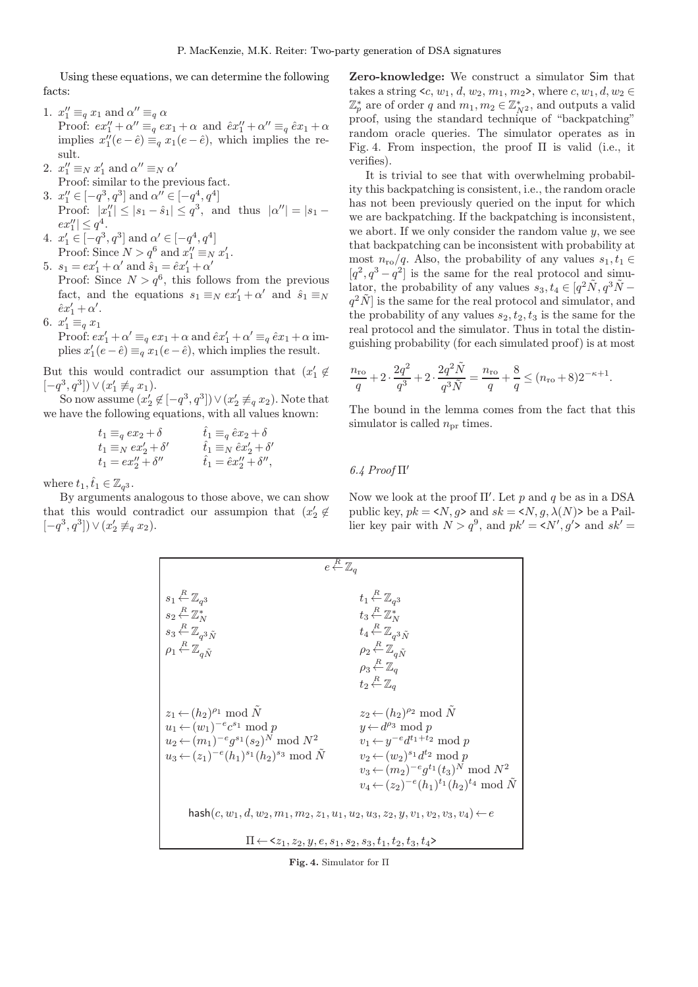Using these equations, we can determine the following facts:

- 1.  $x_1'' \equiv_q x_1$  and  $\alpha'' \equiv_q \alpha$ Proof:  $ex''_1 + \alpha'' \equiv_q ex_1 + \alpha$  and  $\hat{e}x''_1 + \alpha'' \equiv_q \hat{e}x_1 + \alpha$ implies  $x_1''(e - \hat{e}) \equiv_q x_1(e - \hat{e}),$  which implies the result.
- 2.  $x_1'' \equiv_N x_1'$  and  $\alpha'' \equiv_N \alpha'$ Proof: similar to the previous fact.
- 3.  $x_1'' \in [-q^3, q^3]$  and  $\alpha'' \in [-q^4, q^4]$ Proof:  $|x_1''| \le |s_1 - \hat{s}_1| \le q^3$ , and thus  $|\alpha''| = |s_1 - \hat{s}_1|$  $|ex''_1| \leq q^4.$
- 4.  $x'_1 \in [-q^3, q^3]$  and  $\alpha' \in [-q^4, q^4]$ Proof: Since  $N > q^6$  and  $x_1'' \equiv_N x_1'$ .
- 5.  $s_1 = ex'_1 + \alpha'$  and  $\hat{s}_1 = \hat{e}x'_1 + \alpha'$ Proof: Since  $N>q^6$ , this follows from the previous fact, and the equations  $s_1 \equiv_N e x_1' + \alpha'$  and  $\hat{s}_1 \equiv_N$  $\hat{e}x_1' + \alpha'.$
- 6.  $x_1' \equiv_q x_1$ Proof:  $ex_1' + \alpha' \equiv_q ex_1 + \alpha$  and  $\hat{e}x_1' + \alpha' \equiv_q \hat{e}x_1 + \alpha$  implies  $x_1'(e - \hat{e}) \equiv_q x_1(e - \hat{e})$ , which implies the result.
- But this would contradict our assumption that  $(x'_1 \notin$  $[-q^3, q^3]$ )  $\vee (x'_1 \not\equiv_q x_1).$

So now assume  $(x_2' \not\in [-q^3,q^3]) \vee (x_2' \not\equiv_q x_2)$ . Note that we have the following equations, with all values known:

| $t_1 \equiv_q e x_2 + \delta$   | $\tilde{t}_1 \equiv_q \hat{e}x_2 + \delta$   |
|---------------------------------|----------------------------------------------|
| $t_1 \equiv_N e x_2' + \delta'$ | $\tilde{t}_1 \equiv_N \hat{e}x_2' + \delta'$ |
| $t_1 = ex_2'' + \delta''$       | $\hat{t}_1 = \hat{e}x_2'' + \delta'',$       |

where  $t_1, \hat{t}_1 \in \mathbb{Z}_{q^3}$ .

By arguments analogous to those above, we can show that this would contradict our assumpion that  $(x_2 \notin$  $[-q^3, q^3]$ )  $\vee (x_2' \not\equiv_q x_2)$ .

Zero-knowledge: We construct a simulator Sim that takes a string  $\langle c, w_1, d, w_2, m_1, m_2 \rangle$ , where  $c, w_1, d, w_2 \in$  $\mathbb{Z}_p^*$  are of order q and  $m_1, m_2 \in \mathbb{Z}_{N^2}^*$ , and outputs a valid proof, using the standard technique of "backpatching" random oracle queries. The simulator operates as in Fig. 4. From inspection, the proof  $\Pi$  is valid (i.e., it verifies).

It is trivial to see that with overwhelming probability this backpatching is consistent, i.e., the random oracle has not been previously queried on the input for which we are backpatching. If the backpatching is inconsistent, we abort. If we only consider the random value  $y$ , we see that backpatching can be inconsistent with probability at most  $n_{\rm ro}/q$ . Also, the probability of any values  $s_1, t_1 \in$  $[q^2, q^3 - q^2]$  is the same for the real protocol and simulator, the probability of any values  $s_3, t_4 \in [q^2 \tilde{N}, q^3 \tilde{N}$  $q^2\tilde{N}$  is the same for the real protocol and simulator, and the probability of any values  $s_2, t_2, t_3$  is the same for the real protocol and the simulator. Thus in total the distinguishing probability (for each simulated proof) is at most

$$
\frac{n_{\rm ro}}{q} + 2 \cdot \frac{2q^2}{q^3} + 2 \cdot \frac{2q^2 \tilde{N}}{q^3 \tilde{N}} = \frac{n_{\rm ro}}{q} + \frac{8}{q} \le (n_{\rm ro} + 8)2^{-\kappa + 1}.
$$

The bound in the lemma comes from the fact that this simulator is called  $n_{\text{pr}}$  times.

# 6.4 Proof Π

Now we look at the proof  $\Pi'$ . Let p and q be as in a DSA public key,  $pk = \langle N, q \rangle$  and  $sk = \langle N, q, \lambda(N) \rangle$  be a Paillier key pair with  $N > q^9$ , and  $pk' = \langle N', g' \rangle$  and  $sk' =$ 

| $e \stackrel{R}{\leftarrow} \mathbb{Z}_q$                                                                                                                                                                                |                                                                                                                                                                                                                                                                                                                           |
|--------------------------------------------------------------------------------------------------------------------------------------------------------------------------------------------------------------------------|---------------------------------------------------------------------------------------------------------------------------------------------------------------------------------------------------------------------------------------------------------------------------------------------------------------------------|
| $s_1 \overset{R}{\leftarrow} \mathbb{Z}_{a^3}$<br>$s_2 \overset{R}{\leftarrow} \mathbb{Z}_N^*$<br>$s_3 \stackrel{R}{\leftarrow} \mathbb{Z}_{q^3 \tilde{N}}$<br>$\rho_1 \stackrel{R}{\leftarrow} \mathbb{Z}_{a\tilde{N}}$ | $t_1 \stackrel{R}{\leftarrow} \mathbb{Z}_{q^3}$<br>$t_3 \overset{R}{\leftarrow} \mathbb{Z}_N^*$<br>$t_4 \stackrel{R}{\leftarrow} \mathbb{Z}_{a^3\tilde{N}}$<br>$\rho_2 \stackrel{R}{\leftarrow} \mathbb{Z}_{q\tilde{N}}$<br>$\rho_3 \stackrel{R}{\leftarrow} \mathbb{Z}_q$<br>$t_2 \stackrel{R}{\leftarrow} \mathbb{Z}_q$ |
| $z_1 \leftarrow (h_2)^{\rho_1} \mod N$<br>$u_1 \leftarrow (w_1)^{-e} c^{s_1} \mod p$<br>$u_2 \leftarrow (m_1)^{-e} g^{s_1}(s_2)^N \text{ mod } N^2$<br>$u_3 \leftarrow (z_1)^{-e} (h_1)^{s_1} (h_2)^{s_3} \mod N$        | $z_2 \leftarrow (h_2)^{\rho_2} \mod N$<br>$y \leftarrow d^{p_3} \mod p$<br>$v_1 \leftarrow y^{-e} d^{t_1+t_2} \mod p$<br>$v_2 \leftarrow (w_2)^{s_1} d^{t_2} \mod p$<br>$v_3 \leftarrow (m_2)^{-e} g^{t_1}(t_3)^N \text{ mod } N^2$<br>$v_4 \leftarrow (z_2)^{-e} (h_1)^{t_1} (h_2)^{t_4} \text{ mod } N$                 |
| hash $(c, w_1, d, w_2, m_1, m_2, z_1, u_1, u_2, u_3, z_2, y, v_1, v_2, v_3, v_4) \leftarrow e$                                                                                                                           |                                                                                                                                                                                                                                                                                                                           |
| $\Pi \leftarrow \langle z_1, z_2, y, e, s_1, s_2, s_3, t_1, t_2, t_3, t_4 \rangle$                                                                                                                                       |                                                                                                                                                                                                                                                                                                                           |

Fig. 4. Simulator for Π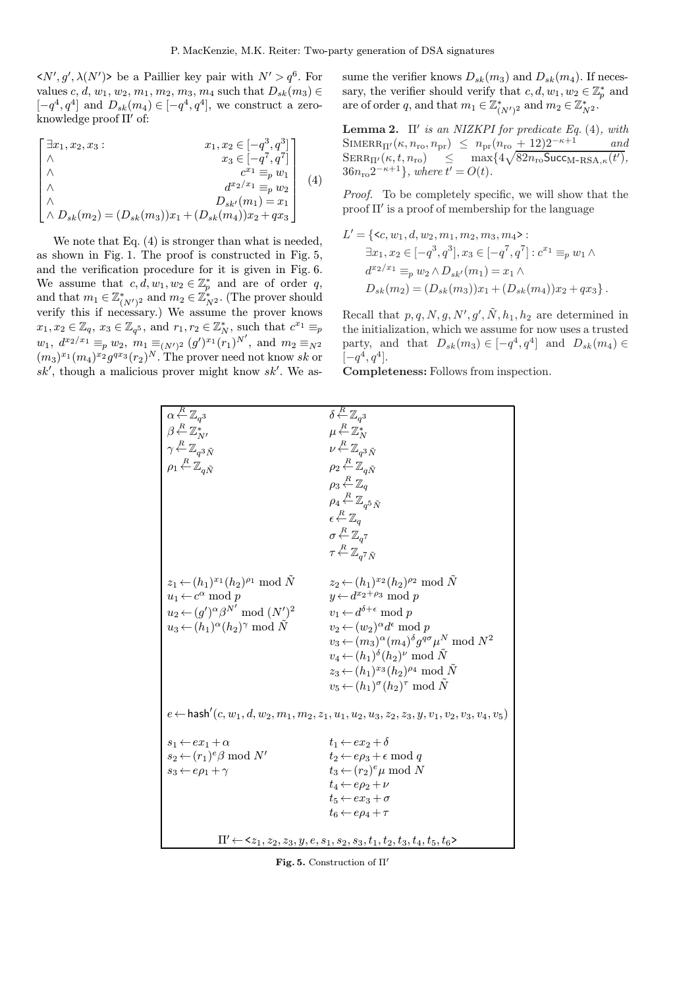$\langle N', g', \lambda(N')\rangle$  be a Paillier key pair with  $N' > q^6$ . For values c, d,  $w_1, w_2, m_1, m_2, m_3, m_4$  such that  $D_{sk}(m_3) \in$  $[-q^4, q^4]$  and  $D_{sk}(m_4) \in [-q^4, q^4]$ , we construct a zeroknowledge proof  $\Pi'$  of:

$$
\begin{bmatrix}\n\exists x_1, x_2, x_3: & x_1, x_2 \in [-q^3, q^3] \\
\wedge & x_3 \in [-q^7, q^7] \\
\wedge & c^{x_1} \equiv_p w_1 \\
\wedge & d^{x_2/x_1} \equiv_p w_2 \\
\wedge & D_{sk}(m_2) = (D_{sk}(m_3))x_1 + (D_{sk}(m_4))x_2 + qx_3\n\end{bmatrix}
$$
\n(4)

We note that Eq. (4) is stronger than what is needed, as shown in Fig. 1. The proof is constructed in Fig. 5, and the verification procedure for it is given in Fig. 6. We assume that  $c, d, w_1, w_2 \in \mathbb{Z}_p^*$  and are of order q, and that  $m_1 \in \mathbb{Z}_{(N')^2}^*$  and  $m_2 \in \mathbb{Z}_{N^2}^*$ . (The prover should verify this if necessary.) We assume the prover knows  $x_1, x_2 \in \mathbb{Z}_q$ ,  $x_3 \in \mathbb{Z}_q$ <sub>5</sub>, and  $r_1, r_2 \in \mathbb{Z}_N^*$ , such that  $c^{x_1} \equiv_p$  $w_1, d^{x_2/x_1} \equiv_p w_2, m_1 \equiv_{(N')^2} (g')^{x_1}(r_1)^{N'}, \text{ and } m_2 \equiv_{N^2}$  $(m_3)^{x_1}(m_4)^{x_2}g^{qx_3}(r_2)^N$ . The prover need not know sk or  $sk'$ , though a malicious prover might know  $sk'$ . We assume the verifier knows  $D_{sk}(m_3)$  and  $D_{sk}(m_4)$ . If necessary, the verifier should verify that  $c, d, w_1, w_2 \in \mathbb{Z}_p^*$  and are of order q, and that  $m_1 \in \mathbb{Z}_{(N')^2}^*$  and  $m_2 \in \mathbb{Z}_{N^2}^*$ .

Lemma 2.  $\Pi'$  is an NIZKPI for predicate Eq. (4), with  $\text{SIMERR}_{\Pi'}(\kappa, n_{\text{ro}}, n_{\text{pr}}) \leq n_{\text{pr}}(n_{\text{ro}} + 12)2^{-\kappa+1}$  and  $\text{SER}_{\Pi'}(\kappa, t, n_{\text{ro}})$   $\leq$   $\max\{4\sqrt{82n_{\text{ro}}\text{Succ}_{\text{M-RSA},\kappa}(t')},\}$  $36n_{\text{ro}}2^{-\kappa+1}$ , where  $t' = O(t)$ .

Proof. To be completely specific, we will show that the proof  $\Pi'$  is a proof of membership for the language

$$
L' = \{ \langle c, w_1, d, w_2, m_1, m_2, m_3, m_4 \rangle : \n\exists x_1, x_2 \in [-q^3, q^3], x_3 \in [-q^7, q^7] : c^{x_1} \equiv_p w_1 \land \nd^{x_2/x_1} \equiv_p w_2 \land D_{sk'}(m_1) = x_1 \land \nD_{sk}(m_2) = (D_{sk}(m_3))x_1 + (D_{sk}(m_4))x_2 + qx_3 \}.
$$

Recall that  $p, q, N, g, N', g', \tilde{N}, h_1, h_2$  are determined in the initialization, which we assume for now uses a trusted party, and that  $D_{sk}(m_3) \in [-q^4, q^4]$  and  $D_{sk}(m_4) \in$  $[-q^4, q^4].$ 

Completeness: Follows from inspection.

| $\alpha \stackrel{R}{\leftarrow} \mathbb{Z}_{a^3}$                 | $\delta \stackrel{R}{\leftarrow} \mathbb{Z}_{a^3}$                                                          |
|--------------------------------------------------------------------|-------------------------------------------------------------------------------------------------------------|
| $\beta \stackrel{R}{\leftarrow} \mathbb{Z}_{N}^*$                  | $\mu \stackrel{R}{\leftarrow} \mathbb{Z}_N^*$                                                               |
| $\gamma \stackrel{R}{\leftarrow} \mathbb{Z}_{q^3 \tilde{N}}$       | $\nu \stackrel{R}{\leftarrow} \mathbb{Z}_{a^3\tilde{N}}$                                                    |
| $\rho_1 \stackrel{R}{\leftarrow} \mathbb{Z}_{q\tilde{N}}$          | $\rho_2 \stackrel{R}{\leftarrow} \mathbb{Z}_{a\tilde{N}}$                                                   |
|                                                                    | $\rho_3 \stackrel{R}{\leftarrow} \mathbb{Z}_a$                                                              |
|                                                                    | $\rho_4 \stackrel{R}{\leftarrow} \mathbb{Z}_{q^5 \tilde{N}}$                                                |
|                                                                    | $\epsilon \stackrel{R}{\leftarrow} \mathbb{Z}_a$                                                            |
|                                                                    | $\sigma \stackrel{R}{\leftarrow} \mathbb{Z}_{q7}$                                                           |
|                                                                    |                                                                                                             |
|                                                                    | $\tau \stackrel{R}{\leftarrow} \mathbb{Z}_{a^7\tilde{N}}$                                                   |
| $z_1 \leftarrow (h_1)^{x_1} (h_2)^{\rho_1} \text{ mod } \tilde{N}$ | $z_2 \leftarrow (h_1)^{x_2} (h_2)^{\rho_2} \text{ mod } \tilde{N}$                                          |
| $u_1 \leftarrow c^{\alpha} \mod p$                                 | $y \leftarrow d^{x_2+\rho_3} \mod p$                                                                        |
| $u_2 \leftarrow (g')^{\alpha} \beta^{N'} \bmod (N')^2$             | $v_1 \leftarrow d^{\delta + \epsilon} \mod p$                                                               |
| $u_3 \leftarrow (h_1)^{\alpha} (h_2)^{\gamma} \mod N$              | $v_2 \leftarrow (w_2)^{\alpha} d^{\epsilon} \mod p$                                                         |
|                                                                    | $v_3 \leftarrow (m_3)^{\alpha} (m_4)^{\delta} g^{q\sigma} \mu^N \text{ mod } N^2$                           |
|                                                                    | $v_4 \leftarrow (h_1)^{\delta} (h_2)^{\nu} \mod \tilde{N}$                                                  |
|                                                                    | $z_3 \leftarrow (h_1)^{x_3} (h_2)^{\rho_4} \text{ mod } N$                                                  |
|                                                                    | $v_5 \leftarrow (h_1)^\sigma (h_2)^\tau \mod N$                                                             |
|                                                                    | $e \leftarrow$ hash' $(c, w_1, d, w_2, m_1, m_2, z_1, u_1, u_2, u_3, z_2, z_3, y, v_1, v_2, v_3, v_4, v_5)$ |
| $s_1 \leftarrow ex_1 + \alpha$                                     | $t_1 \leftarrow ex_2 + \delta$                                                                              |
| $s_2 \leftarrow (r_1)^e \beta \mod N'$                             | $t_2 \leftarrow e\rho_3 + \epsilon \mod q$                                                                  |
| $s_3 \leftarrow e\rho_1 + \gamma$                                  | $t_3 \leftarrow (r_2)^e \mu \mod N$                                                                         |
|                                                                    | $t_4 \leftarrow e\rho_2 + \nu$                                                                              |
|                                                                    | $t_5 \leftarrow ex_3 + \sigma$                                                                              |
|                                                                    | $t_6 \leftarrow e\rho_4 + \tau$                                                                             |
|                                                                    | $\Pi' \leftarrow \langle z_1, z_2, z_3, y, e, s_1, s_2, s_3, t_1, t_2, t_3, t_4, t_5, t_6 \rangle$          |

Fig. 5. Construction of  $\Pi'$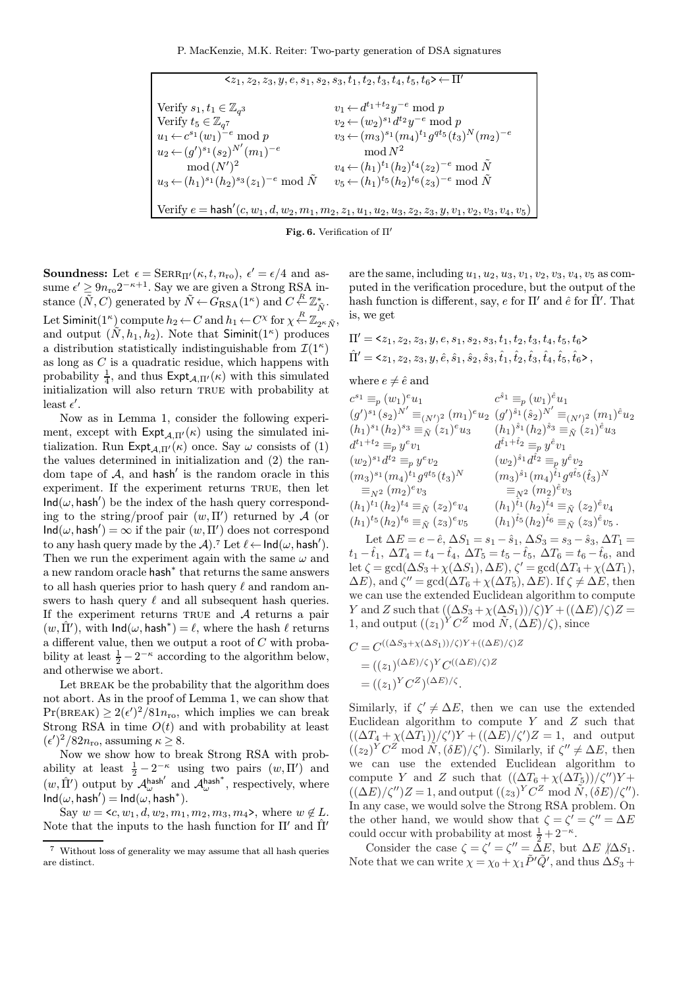P. MacKenzie, M.K. Reiter: Two-party generation of DSA signatures





**Soundness:** Let  $\epsilon = \text{SERR}_{\Pi'}(\kappa, t, n_{\text{ro}}), \epsilon' = \epsilon/4$  and assume  $\epsilon' \ge 9n_{\rm ro}2^{-\kappa+1}$ . Say we are given a Strong RSA instance  $(\tilde{N}, C)$  generated by  $\tilde{N} \leftarrow G_{\text{RSA}}(1^{\kappa})$  and  $C \stackrel{R}{\leftarrow} \mathbb{Z}_{\tilde{N}}^*$ . Let Siminit $(1^{\kappa})$  compute  $h_2 \leftarrow C$  and  $h_1 \leftarrow C^{\chi}$  for  $\chi \stackrel{R}{\leftarrow} \mathbb{Z}_{2^{\kappa} \tilde{N}}$ , and output  $(N, h_1, h_2)$ . Note that Siminit(1<sup>k</sup>) produces a distribution statistically indistinguishable from  $\mathcal{I}(1^{\kappa})$ as long as  $C$  is a quadratic residue, which happens with probability  $\frac{1}{4}$ , and thus  $\text{Expt}_{A,\Pi'}(\kappa)$  with this simulated initialization will also return true with probability at least  $\epsilon'$ .

Now as in Lemma 1, consider the following experiment, except with  $\mathsf{Expt}_{A,\Pi'}(\kappa)$  using the simulated initialization. Run Expt<sub>A,Π'</sub>( $\kappa$ ) once. Say  $\omega$  consists of (1) the values determined in initialization and (2) the random tape of  $A$ , and hash' is the random oracle in this experiment. If the experiment returns TRUE, then let  $\text{Ind}(\omega, \text{hash}')$  be the index of the hash query corresponding to the string/proof pair  $(w, \Pi')$  returned by A (or  $\mathsf{Ind}(\omega,\mathsf{hash}') = \infty$  if the pair  $(w,\Pi')$  does not correspond to any hash query made by the  $\mathcal{A}$ ).<sup>7</sup> Let  $\ell \leftarrow$ Ind( $\omega$ , hash'). Then we run the experiment again with the same  $\omega$  and a new random oracle hash<sup>∗</sup> that returns the same answers to all hash queries prior to hash query  $\ell$  and random answers to hash query  $\ell$  and all subsequent hash queries. If the experiment returns TRUE and  $A$  returns a pair  $(w, \hat{\Pi}')$ , with  $\text{Ind}(\omega, \text{hash}^*) = \ell$ , where the hash  $\ell$  returns a different value, then we output a root of  $C$  with probability at least  $\frac{1}{2} - 2^{-\kappa}$  according to the algorithm below, and otherwise we abort.

Let BREAK be the probability that the algorithm does not abort. As in the proof of Lemma 1, we can show that  $Pr(BREAK) \geq 2(\epsilon')^2/81n_{\rm ro}$ , which implies we can break Strong RSA in time  $O(t)$  and with probability at least  $(\epsilon')^2/82n_{\rm ro}$ , assuming  $\kappa \geq 8$ .

Now we show how to break Strong RSA with probability at least  $\frac{1}{2} - 2^{-\kappa}$  using two pairs  $(w, \Pi')$  and  $(w, \hat{\Pi}')$  output by  $\mathcal{A}_{\omega}^{\mathsf{hash}'}$  and  $\mathcal{A}_{\omega}^{\mathsf{hash}^*}$ , respectively, where  $\mathsf{Ind}(\omega,\mathsf{hash}') = \mathsf{Ind}(\omega,\mathsf{hash}^*).$ 

Say  $w = \langle c, w_1, d, w_2, m_1, m_2, m_3, m_4 \rangle$ , where  $w \notin L$ . Note that the inputs to the hash function for  $\Pi'$  and  $\hat{\Pi}'$  are the same, including  $u_1, u_2, u_3, v_1, v_2, v_3, v_4, v_5$  as computed in the verification procedure, but the output of the hash function is different, say,  $e$  for  $\Pi'$  and  $\hat{e}$  for  $\hat{\Pi}'$ . That is, we get

$$
\Pi' = \langle z_1, z_2, z_3, y, e, s_1, s_2, s_3, t_1, t_2, t_3, t_4, t_5, t_6 \rangle
$$
  

$$
\hat{\Pi}' = \langle z_1, z_2, z_3, y, \hat{e}, \hat{s}_1, \hat{s}_2, \hat{s}_3, \hat{t}_1, \hat{t}_2, \hat{t}_3, \hat{t}_4, \hat{t}_5, \hat{t}_6 \rangle,
$$

where  $e \neq \hat{e}$  and

$$
c^{s_1} \equiv_p (w_1)^e u_1 \t c^{\hat{s}_1} \equiv_p (w_1)^{\hat{e}} u_1
$$
  
\n
$$
(g')^{s_1}(s_2)^{N'} \equiv_{(N')^2} (m_1)^e u_2 \t (g')^{\hat{s}_1}(\hat{s}_2)^{N'} \equiv_{(N')^2} (m_1)^{\hat{e}} u_2
$$
  
\n
$$
(h_1)^{s_1}(h_2)^{s_3} \equiv_{\tilde{N}} (z_1)^e u_3 \t (h_1)^{\hat{s}_1}(h_2)^{\hat{s}_3} \equiv_{\tilde{N}} (z_1)^{\hat{e}} u_3
$$
  
\n
$$
d^{t_1+t_2} \equiv_p y^e v_1 \t d^{\hat{t}_1+\hat{t}_2} \equiv_p y^{\hat{e}} v_1
$$
  
\n
$$
(w_2)^{s_1} d^{t_2} \equiv_p y^e v_2 \t (w_2)^{\hat{s}_1} d^{\hat{t}_2} \equiv_p y^{\hat{e}} v_2
$$
  
\n
$$
(m_3)^{s_1}(m_4)^{t_1} g^{q t_5}(t_3)^N \t (m_3)^{\hat{s}_1}(m_4)^{\hat{t}_1} g^{q \hat{t}_5}(\hat{t}_3)^N
$$
  
\n
$$
\equiv_{N^2} (m_2)^e v_3 \t \equiv_{N^2} (m_2)^{\hat{e}} v_3
$$
  
\n
$$
(h_1)^{t_1}(h_2)^{t_4} \equiv_{\tilde{N}} (z_2)^e v_4 \t (h_1)^{\hat{t}_1}(h_2)^{\hat{t}_4} \equiv_{\tilde{N}} (z_2)^{\hat{e}} v_4
$$
  
\n
$$
(h_1)^{t_5}(h_2)^{t_6} \equiv_{\tilde{N}} (z_3)^e v_5 \t (h_1)^{\hat{t}_5}(h_2)^{\hat{t}_6} \equiv_{\tilde{N}} (z_3)^{\hat{e}} v_5.
$$

Let  $\Delta E = e - \hat{e}$ ,  $\Delta S_1 = s_1 - \hat{s}_1$ ,  $\Delta S_3 = s_3 - \hat{s}_3$ ,  $\Delta T_1 =$  $t_1 - \hat{t}_1$ ,  $\Delta T_4 = t_4 - \hat{t}_4$ ,  $\Delta T_5 = t_5 - \hat{t}_5$ ,  $\Delta T_6 = t_6 - \hat{t}_6$ , and let  $\zeta = \gcd(\Delta S_3 + \chi(\Delta S_1), \Delta E),$   $\zeta' = \gcd(\Delta T_4 + \chi(\Delta T_1)),$  $\Delta E$ ), and  $\zeta'' = \gcd(\Delta T_6 + \chi(\Delta T_5), \Delta E)$ . If  $\zeta \neq \Delta E$ , then we can use the extended Euclidean algorithm to compute Y and Z such that  $((\Delta S_3 + \chi(\Delta S_1))/\zeta)Y + ((\Delta E)/\zeta)Z =$ 1, and output  $((z_1)^{\tilde{Y}} C^Z \mod \tilde{N}, (\Delta E)/\zeta)$ , since

$$
C = C^{((\Delta S_3 + \chi(\Delta S_1))/\zeta)Y + ((\Delta E)/\zeta)Z}
$$
  
= ((z<sub>1</sub>)<sup>(\Delta E)/\zeta</sup>)<sup>Y</sup>C<sup>((\Delta E)/\zeta)Z</sup>  
= ((z<sub>1</sub>)<sup>Y</sup>C<sup>Z</sup>)<sup>(\Delta E)/\zeta</sup>.

Similarly, if  $\zeta' \neq \Delta E$ , then we can use the extended Euclidean algorithm to compute  $Y$  and  $Z$  such that  $((\Delta T_4 + \chi(\Delta T_1))/\zeta')Y + ((\Delta E)/\zeta')Z = 1$ , and output  $((z_2)^Y C^Z \mod \tilde{N}, (\delta E)/\zeta')$ . Similarly, if  $\zeta'' \neq \Delta E$ , then we can use the extended Euclidean algorithm to compute Y and Z such that  $((\Delta T_6 + \chi(\Delta T_5))/\zeta'')Y +$  $((\Delta E)/\zeta'')Z = 1$ , and output  $((z_3)^Y C^Z \mod \tilde{N}, (\delta E)/\zeta'')$ . In any case, we would solve the Strong RSA problem. On the other hand, we would show that  $\zeta = \zeta' = \zeta'' = \Delta E$ could occur with probability at most  $\frac{1}{2} + 2^{-\kappa}$ .

Consider the case  $\zeta = \zeta' = \zeta'' = \Delta E$ , but  $\Delta E / \Delta S_1$ . Note that we can write  $\chi = \chi_0 + \chi_1 \tilde{P}' \tilde{Q}'$ , and thus  $\Delta S_3 +$ 

<sup>7</sup> Without loss of generality we may assume that all hash queries are distinct.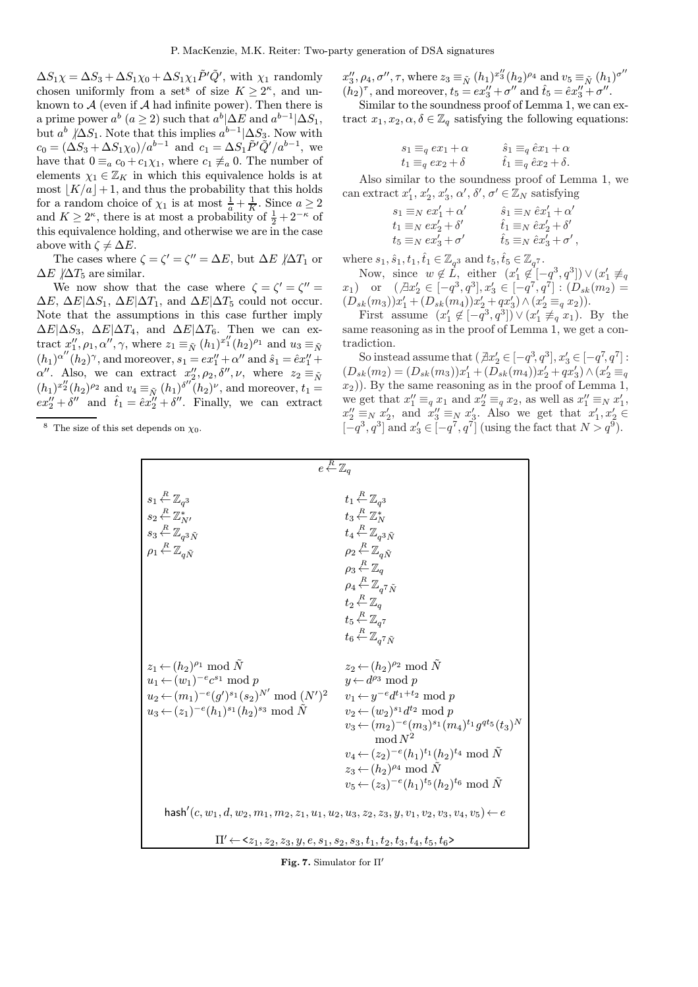$\Delta S_1 \chi = \Delta S_3 + \Delta S_1 \chi_0 + \Delta S_1 \chi_1 \tilde{P}' \tilde{Q}'$ , with  $\chi_1$  randomly chosen uniformly from a set<sup>8</sup> of size  $K \geq 2^{\kappa}$ , and unknown to  $A$  (even if  $A$  had infinite power). Then there is a prime power  $a^b$  ( $a \ge 2$ ) such that  $a^b|\Delta E$  and  $a^{b-1}|\Delta S_1$ , but  $a^b$   $\vert\Delta S_1$ . Note that this implies  $a^{b-1}\vert\Delta S_3$ . Now with  $c_0 = (\Delta S_3 + \Delta S_1 \chi_0)/a^{b-1}$  and  $c_1 = \Delta S_1 \tilde{P}' \tilde{Q}' / a^{b-1}$ , we have that  $0 \equiv_a c_0 + c_1 \chi_1$ , where  $c_1 \not\equiv_a 0$ . The number of elements  $\chi_1 \in \mathbb{Z}_K$  in which this equivalence holds is at most  $|K/a| + 1$ , and thus the probability that this holds for a random choice of  $\chi_1$  is at most  $\frac{1}{a} + \frac{1}{K}$ . Since  $a \ge 2$ and  $K \geq 2^{\kappa}$ , there is at most a probability of  $\frac{1}{2} + 2^{-\kappa}$  of this equivalence holding, and otherwise we are in the case above with  $\zeta \neq \Delta E$ .

The cases where  $\zeta = \zeta' = \zeta'' = \Delta E$ , but  $\Delta E / \Delta T_1$  or  $\Delta E$  / $\Delta T_5$  are similar.

We now show that the case where  $\zeta = \zeta' = \zeta'' =$  $\Delta E, \Delta E | \Delta S_1, \Delta E | \Delta T_1$ , and  $\Delta E | \Delta T_5$  could not occur. Note that the assumptions in this case further imply  $\Delta E|\Delta S_3$ ,  $\Delta E|\Delta T_4$ , and  $\Delta E|\Delta T_6$ . Then we can extract  $x_1'', \rho_1, \alpha'', \gamma$ , where  $z_1 \equiv_{\tilde{N}} (h_1)^{x_1''}(h_2)^{\rho_1}$  and  $u_3 \equiv_{\tilde{N}}$  $(h_1)^{\alpha''}(h_2)^\gamma$ , and moreover,  $s_1 = ex''_1 + \alpha''$  and  $\hat{s}_1 = \hat{e}x''_1 + \hat{e}$  $\alpha''$ . Also, we can extract  $x_2'', \rho_2, \delta'', \nu$ , where  $z_2 \equiv_{\tilde{N}}$  $(h_1)^{x_2''}(h_2)^{\rho_2}$  and  $v_4 \equiv_{\tilde{N}} (h_1)^{\delta''}(h_2)^{\nu}$ , and moreover,  $t_1 =$  $ex_2'' + \delta''$  and  $\hat{t}_1 = \hat{e}x_2'' + \delta''$ . Finally, we can extract

<sup>8</sup> The size of this set depends on  $\chi_0$ .

 $x''_3, \rho_4, \sigma'', \tau$ , where  $z_3 \equiv_{\tilde{N}} (h_1)^{x''_3} (h_2)^{\rho_4}$  and  $v_5 \equiv_{\tilde{N}} (h_1)^{\sigma''}$  $(h_2)^\tau$ , and moreover,  $t_5 = e x_3'' + \sigma''$  and  $\hat{t}_5 = e x_3'' + \sigma''$ .

Similar to the soundness proof of Lemma 1, we can extract  $x_1, x_2, \alpha, \delta \in \mathbb{Z}_q$  satisfying the following equations:

$$
\begin{array}{ll} s_1 \equiv_q e x_1 + \alpha & \qquad \hat{s}_1 \equiv_q \hat{e} x_1 + \alpha \\ t_1 \equiv_q e x_2 + \delta & \qquad \hat{t}_1 \equiv_q \hat{e} x_2 + \delta. \end{array}
$$

Also similar to the soundness proof of Lemma 1, we can extract  $x'_1, x'_2, x'_3, \alpha', \delta', \sigma' \in \mathbb{Z}_N$  satisfying

| $s_1 \equiv_N e x_1' + \alpha'$ | $\hat{s}_1 \equiv_N \hat{e}x'_1 + \alpha'$   |
|---------------------------------|----------------------------------------------|
| $t_1 \equiv_N e x_2' + \delta'$ | $\hat{t}_1 \equiv_N \hat{e}x'_2 + \delta'$   |
| $t_5 \equiv_N e x'_3 + \sigma'$ | $\hat{t}_5 \equiv_N \hat{e}x'_3 + \sigma'$ , |

where  $s_1, \hat{s}_1, t_1, \hat{t}_1 \in \mathbb{Z}_{q^3}$  and  $t_5, \hat{t}_5 \in \mathbb{Z}_{q^7}$ .

Now, since  $w \notin \hat{L}$ , either  $(x_1' \notin [-q^3, q^3]) \vee (x_1' \neq q)$  $x_1$ ) or  $(\exists x_2' \in [-q^3, q^3], x_3' \in [-q^7, q^7] : (D_{sk}(m_2) =$  $(D_{sk}(m_3))x'_1 + (D_{sk}(m_4))x'_2 + qx'_3) \wedge (x'_2 \equiv_q x_2).$ 

First assume  $(x_1' \not\in [-q^3, q^3]) \vee (x_1' \not\equiv_q x_1)$ . By the same reasoning as in the proof of Lemma 1, we get a contradiction.

So instead assume that  $(\exists x'_2 \in [-q^3, q^3], x'_3 \in [-q^7, q^7]$ :  $(D_{sk}(m_2) = (D_{sk}(m_3))x'_1 + (D_{sk}(m_4))x'_2 + qx'_3) \wedge (x'_2 \equiv q$  $(x_2)$ ). By the same reasoning as in the proof of Lemma 1, we get that  $x_1'' \equiv_q x_1$  and  $x_2'' \equiv_q x_2$ , as well as  $x_1'' \equiv_N x_1'$ ,  $x_2'' \equiv_N x_2'$ , and  $x_3'' \equiv_N x_3'$ . Also we get that  $x_1', x_2' \in$  $[-q^3, q^3]$  and  $x'_3 \in [-q^7, q^7]$  (using the fact that  $N > q^9$ ).

| $e \stackrel{R}{\leftarrow} \mathbb{Z}_q$                                                                                                                                                                                      |                                                                                                                                                                                                                                                                                                                                                                                                                                                                                                        |
|--------------------------------------------------------------------------------------------------------------------------------------------------------------------------------------------------------------------------------|--------------------------------------------------------------------------------------------------------------------------------------------------------------------------------------------------------------------------------------------------------------------------------------------------------------------------------------------------------------------------------------------------------------------------------------------------------------------------------------------------------|
| $s_1 \overset{\kappa}{\leftarrow} \mathbb{Z}_{q^3}$<br>$s_2 \overset{R}{\leftarrow} \mathbb{Z}_{N}^*$<br>$s_3 \overset{R}{\leftarrow} \mathbb{Z}_{q^3 \tilde{N}}$<br>$\rho_1 \stackrel{R}{\leftarrow} \mathbb{Z}_{a\tilde{N}}$ | $t_1 \overset{R}{\leftarrow} \mathbb{Z}_{a^3}$<br>$t_3 \overset{R}{\leftarrow} \mathbb{Z}_N^*$<br>$t_4 \stackrel{R}{\leftarrow} \mathbb{Z}_{a^3\tilde{N}}$<br>$\rho_2 \stackrel{R}{\leftarrow} \mathbb{Z}_{a\tilde{N}}$<br>$\rho_3 \stackrel{R}{\leftarrow} \mathbb{Z}_a$<br>$\rho_4 \stackrel{R}{\leftarrow} \mathbb{Z}_{q^7\tilde{N}}$<br>$t_2 \stackrel{R}{\leftarrow} \mathbb{Z}_q$<br>$t_5 \stackrel{R}{\leftarrow} \mathbb{Z}_{a^7}$<br>$t_6 \stackrel{R}{\leftarrow} \mathbb{Z}_{a^7\tilde{N}}$ |
| $z_1 \leftarrow (h_2)^{\rho_1} \mod \tilde{N}$<br>$u_1 \leftarrow (w_1)^{-e} c^{s_1} \mod p$<br>$u_2 \leftarrow (m_1)^{-e} (g')^{s_1} (s_2)^{N'} \mod (N')^2$<br>$u_3 \leftarrow (z_1)^{-e} (h_1)^{s_1} (h_2)^{s_3} \mod N$    | $z_2 \leftarrow (h_2)^{\rho_2} \mod N$<br>$y \leftarrow d^{\rho_3} \mod p$<br>$v_1 \leftarrow y^{-e} d^{t_1+t_2} \mod p$<br>$v_2 \leftarrow (w_2)^{s_1} d^{t_2} \text{ mod } p$<br>$v_3 \leftarrow (m_2)^{-e} (m_3)^{s_1} (m_4)^{t_1} g^{qt_5} (t_3)^N$<br>$mod N^2$<br>$v_4 \leftarrow (z_2)^{-e} (h_1)^{t_1} (h_2)^{t_4} \mod N$<br>$z_3 \leftarrow (h_2)^{\rho_4} \mod N$<br>$v_5 \leftarrow (z_3)^{-e} (h_1)^{t_5} (h_2)^{t_6} \mod N$                                                             |
| hash' $(c, w_1, d, w_2, m_1, m_2, z_1, u_1, u_2, u_3, z_2, z_3, y, v_1, v_2, v_3, v_4, v_5) \leftarrow e$                                                                                                                      |                                                                                                                                                                                                                                                                                                                                                                                                                                                                                                        |
| $\Pi' \leftarrow \langle z_1, z_2, z_3, y, e, s_1, s_2, s_3, t_1, t_2, t_3, t_4, t_5, t_6 \rangle$                                                                                                                             |                                                                                                                                                                                                                                                                                                                                                                                                                                                                                                        |

Fig. 7. Simulator for  $\Pi'$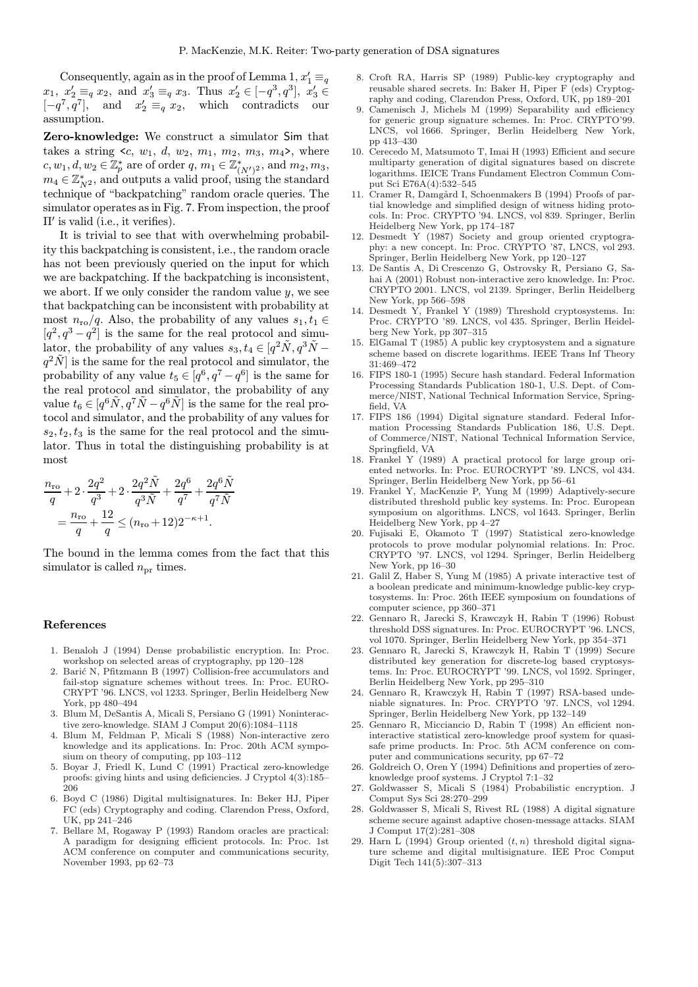Consequently, again as in the proof of Lemma 1,  $x'_1 \equiv_q$  $x_1, x_2' \equiv_q x_2$ , and  $x_3' \equiv_q x_3$ . Thus  $x_2' \in [-q^3, q^3]$ ,  $x_3' \in$  $[-q^7, q^7]$ , and  $x'_2 \equiv_q x_2$ , which contradicts our assumption.

Zero-knowledge: We construct a simulator Sim that takes a string  $\langle c, w_1, d, w_2, m_1, m_2, m_3, m_4 \rangle$ , where  $c, w_1, d, w_2 \in \mathbb{Z}_p^*$  are of order  $q, m_1 \in \mathbb{Z}_{(N')^2}^*$ , and  $m_2, m_3$ ,  $m_4 \in \mathbb{Z}_{N^2}^*$ , and outputs a valid proof, using the standard technique of "backpatching" random oracle queries. The simulator operates as in Fig. 7. From inspection, the proof  $\Pi'$  is valid (i.e., it verifies).

It is trivial to see that with overwhelming probability this backpatching is consistent, i.e., the random oracle has not been previously queried on the input for which we are backpatching. If the backpatching is inconsistent, we abort. If we only consider the random value  $y$ , we see that backpatching can be inconsistent with probability at most  $n_{\rm ro}/q$ . Also, the probability of any values  $s_1, t_1 \in$  $[q^2, q^3 - q^2]$  is the same for the real protocol and simulator, the probability of any values  $s_3, t_4 \in [q^2N, q^3N$  $q^2\tilde{N}$  is the same for the real protocol and simulator, the probability of any value  $t_5 \in [q^6, q^7 - q^6]$  is the same for the real protocol and simulator, the probability of any value  $t_6 \in [q^6 \tilde{N}, q^7 \tilde{N} - q^6 \tilde{N}]$  is the same for the real protocol and simulator, and the probability of any values for  $s_2, t_2, t_3$  is the same for the real protocol and the simulator. Thus in total the distinguishing probability is at most

$$
\frac{n_{\rm ro}}{q} + 2 \cdot \frac{2q^2}{q^3} + 2 \cdot \frac{2q^2 \tilde{N}}{q^3 \tilde{N}} + \frac{2q^6}{q^7} + \frac{2q^6 \tilde{N}}{q^7 \tilde{N}}
$$

$$
= \frac{n_{\rm ro}}{q} + \frac{12}{q} \le (n_{\rm ro} + 12)2^{-\kappa + 1}.
$$

The bound in the lemma comes from the fact that this simulator is called  $n_{\text{pr}}$  times.

#### References

- 1. Benaloh J (1994) Dense probabilistic encryption. In: Proc. workshop on selected areas of cryptography, pp 120–128
- 2. Barić N, Pfitzmann B (1997) Collision-free accumulators and fail-stop signature schemes without trees. In: Proc. EURO-CRYPT '96. LNCS, vol 1233. Springer, Berlin Heidelberg New York, pp 480–494
- 3. Blum M, DeSantis A, Micali S, Persiano G (1991) Noninteractive zero-knowledge. SIAM J Comput 20(6):1084–1118
- 4. Blum M, Feldman P, Micali S (1988) Non-interactive zero knowledge and its applications. In: Proc. 20th ACM symposium on theory of computing, pp 103–112
- 5. Boyar J, Friedl K, Lund C (1991) Practical zero-knowledge proofs: giving hints and using deficiencies. J Cryptol 4(3):185– 206
- 6. Boyd C (1986) Digital multisignatures. In: Beker HJ, Piper FC (eds) Cryptography and coding. Clarendon Press, Oxford, UK, pp 241–246
- 7. Bellare M, Rogaway P (1993) Random oracles are practical: A paradigm for designing efficient protocols. In: Proc. 1st ACM conference on computer and communications security, November 1993, pp 62–73
- 8. Croft RA, Harris SP (1989) Public-key cryptography and reusable shared secrets. In: Baker H, Piper F (eds) Cryptography and coding, Clarendon Press, Oxford, UK, pp 189–201
- 9. Camenisch J, Michels M (1999) Separability and efficiency for generic group signature schemes. In: Proc. CRYPTO'99. LNCS, vol 1666. Springer, Berlin Heidelberg New York, pp 413–430
- 10. Cerecedo M, Matsumoto T, Imai H (1993) Efficient and secure multiparty generation of digital signatures based on discrete logarithms. IEICE Trans Fundament Electron Commun Comput Sci E76A(4):532–545
- Cramer R, Damgård I, Schoenmakers B (1994) Proofs of partial knowledge and simplified design of witness hiding protocols. In: Proc. CRYPTO '94. LNCS, vol 839. Springer, Berlin Heidelberg New York, pp 174–187
- 12. Desmedt Y (1987) Society and group oriented cryptography: a new concept. In: Proc. CRYPTO '87, LNCS, vol 293. Springer, Berlin Heidelberg New York, pp 120–127
- 13. De Santis A, Di Crescenzo G, Ostrovsky R, Persiano G, Sahai A (2001) Robust non-interactive zero knowledge. In: Proc. CRYPTO 2001. LNCS, vol 2139. Springer, Berlin Heidelberg New York, pp 566–598
- 14. Desmedt Y, Frankel Y (1989) Threshold cryptosystems. In: Proc. CRYPTO '89. LNCS, vol 435. Springer, Berlin Heidelberg New York, pp 307–315
- 15. ElGamal T (1985) A public key cryptosystem and a signature scheme based on discrete logarithms. IEEE Trans Inf Theory 31:469–472
- 16. FIPS 180-1 (1995) Secure hash standard. Federal Information Processing Standards Publication 180-1, U.S. Dept. of Commerce/NIST, National Technical Information Service, Springfield, VA
- 17. FIPS 186 (1994) Digital signature standard. Federal Information Processing Standards Publication 186, U.S. Dept. of Commerce/NIST, National Technical Information Service, Springfield, VA
- 18. Frankel Y (1989) A practical protocol for large group oriented networks. In: Proc. EUROCRYPT '89. LNCS, vol 434. Springer, Berlin Heidelberg New York, pp 56–61
- 19. Frankel Y, MacKenzie P, Yung M (1999) Adaptively-secure distributed threshold public key systems. In: Proc. European symposium on algorithms. LNCS, vol 1643. Springer, Berlin Heidelberg New York, pp 4–27
- 20. Fujisaki $\bar{\mathrm{E}}, \,$  Okamoto $\mathbf{\hat{T}}$  (1997) Statistical zero-knowledge protocols to prove modular polynomial relations. In: Proc. CRYPTO '97. LNCS, vol 1294. Springer, Berlin Heidelberg New York, pp 16–30
- 21. Galil Z, Haber S, Yung M (1985) A private interactive test of a boolean predicate and minimum-knowledge public-key cryptosystems. In: Proc. 26th IEEE symposium on foundations of computer science, pp 360–371
- 22. Gennaro R, Jarecki S, Krawczyk H, Rabin T (1996) Robust threshold DSS signatures. In: Proc. EUROCRYPT '96. LNCS, vol 1070. Springer, Berlin Heidelberg New York, pp 354–371
- 23. Gennaro R, Jarecki S, Krawczyk H, Rabin T (1999) Secure distributed key generation for discrete-log based cryptosystems. In: Proc. EUROCRYPT '99. LNCS, vol 1592. Springer, Berlin Heidelberg New York, pp 295–310
- 24. Gennaro R, Krawczyk H, Rabin T (1997) RSA-based undeniable signatures. In: Proc. CRYPTO '97. LNCS, vol 1294. Springer, Berlin Heidelberg New York, pp 132–149
- 25. Gennaro R, Micciancio D, Rabin T (1998) An efficient noninteractive statistical zero-knowledge proof system for quasisafe prime products. In: Proc. 5th ACM conference on computer and communications security, pp 67–72
- 26. Goldreich O, Oren Y (1994) Definitions and properties of zeroknowledge proof systems. J Cryptol 7:1–32
- 27. Goldwasser S, Micali S (1984) Probabilistic encryption. J Comput Sys Sci 28:270–299
- 28. Goldwasser S, Micali S, Rivest RL (1988) A digital signature scheme secure against adaptive chosen-message attacks. SIAM J Comput 17(2):281–308
- 29. Harn L (1994) Group oriented  $(t, n)$  threshold digital signature scheme and digital multisignature. IEE Proc Comput Digit Tech 141(5):307–313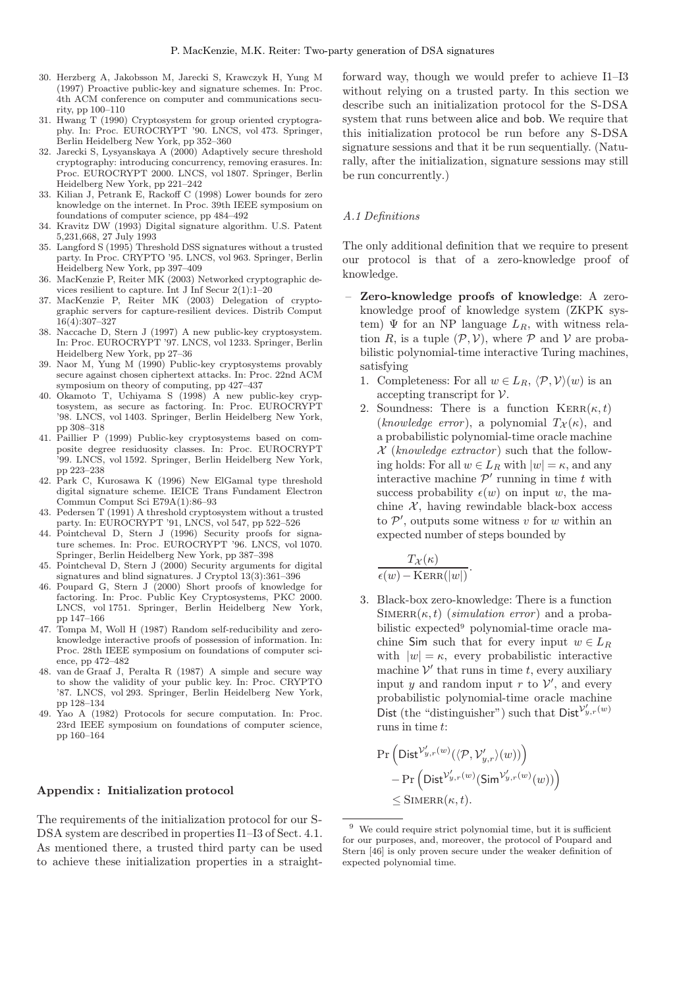- 30. Herzberg A, Jakobsson M, Jarecki S, Krawczyk H, Yung M (1997) Proactive public-key and signature schemes. In: Proc. 4th ACM conference on computer and communications security, pp 100–110
- 31. Hwang T (1990) Cryptosystem for group oriented cryptography. In: Proc. EUROCRYPT '90. LNCS, vol 473. Springer, Berlin Heidelberg New York, pp 352–360
- 32. Jarecki S, Lysyanskaya A (2000) Adaptively secure threshold cryptography: introducing concurrency, removing erasures. In: Proc. EUROCRYPT 2000. LNCS, vol 1807. Springer, Berlin Heidelberg New York, pp 221–242
- 33. Kilian J, Petrank E, Rackoff C (1998) Lower bounds for zero knowledge on the internet. In Proc. 39th IEEE symposium on foundations of computer science, pp 484–492
- 34. Kravitz DW (1993) Digital signature algorithm. U.S. Patent 5,231,668, 27 July 1993
- 35. Langford S (1995) Threshold DSS signatures without a trusted party. In Proc. CRYPTO '95. LNCS, vol 963. Springer, Berlin Heidelberg New York, pp 397–409
- 36. MacKenzie P, Reiter MK (2003) Networked cryptographic devices resilient to capture. Int J Inf Secur  $2(1)$ :1–20
- 37. MacKenzie P, Reiter MK (2003) Delegation of cryptographic servers for capture-resilient devices. Distrib Comput 16(4):307–327
- 38. Naccache D, Stern J (1997) A new public-key cryptosystem. In: Proc. EUROCRYPT '97. LNCS, vol 1233. Springer, Berlin Heidelberg New York, pp 27–36
- 39. Naor M, Yung M (1990) Public-key cryptosystems provably secure against chosen ciphertext attacks. In: Proc. 22nd ACM symposium on theory of computing, pp 427–437
- 40. Okamoto T, Uchiyama S (1998) A new public-key cryptosystem, as secure as factoring. In: Proc. EUROCRYPT '98. LNCS, vol 1403. Springer, Berlin Heidelberg New York, pp 308–318
- 41. Paillier P (1999) Public-key cryptosystems based on composite degree residuosity classes. In: Proc. EUROCRYPT '99. LNCS, vol 1592. Springer, Berlin Heidelberg New York, pp 223–238
- 42. Park C, Kurosawa K (1996) New ElGamal type threshold digital signature scheme. IEICE Trans Fundament Electron Commun Comput Sci E79A(1):86–93
- 43. Pedersen T (1991) A threshold cryptosystem without a trusted party. In: EUROCRYPT '91, LNCS, vol 547, pp 522–526
- 44. Pointcheval D, Stern J (1996) Security proofs for signature schemes. In: Proc. EUROCRYPT '96. LNCS, vol 1070. Springer, Berlin Heidelberg New York, pp 387–398
- 45. Pointcheval D, Stern J (2000) Security arguments for digital signatures and blind signatures. J Cryptol 13(3):361–396
- 46. Poupard G, Stern J (2000) Short proofs of knowledge for factoring. In: Proc. Public Key Cryptosystems, PKC 2000. LNCS, vol 1751. Springer, Berlin Heidelberg New York, pp 147–166
- 47. Tompa M, Woll H (1987) Random self-reducibility and zeroknowledge interactive proofs of possession of information. In: Proc. 28th IEEE symposium on foundations of computer science, pp 472–482
- 48. van de Graaf J, Peralta R (1987) A simple and secure way to show the validity of your public key. In: Proc. CRYPTO '87. LNCS, vol 293. Springer, Berlin Heidelberg New York, pp 128–134
- 49. Yao A (1982) Protocols for secure computation. In: Proc. 23rd IEEE symposium on foundations of computer science, pp 160–164

#### Appendix : Initialization protocol

The requirements of the initialization protocol for our S-DSA system are described in properties I1–I3 of Sect. 4.1. As mentioned there, a trusted third party can be used to achieve these initialization properties in a straightforward way, though we would prefer to achieve I1–I3 without relying on a trusted party. In this section we describe such an initialization protocol for the S-DSA system that runs between alice and bob. We require that this initialization protocol be run before any S-DSA signature sessions and that it be run sequentially. (Naturally, after the initialization, signature sessions may still be run concurrently.)

### A.1 Definitions

The only additional definition that we require to present our protocol is that of a zero-knowledge proof of knowledge.

- Zero-knowledge proofs of knowledge: A zeroknowledge proof of knowledge system (ZKPK system)  $\Psi$  for an NP language  $L_R$ , with witness relation R, is a tuple  $(\mathcal{P}, \mathcal{V})$ , where P and V are probabilistic polynomial-time interactive Turing machines, satisfying
	- 1. Completeness: For all  $w \in L_R$ ,  $\langle \mathcal{P}, \mathcal{V} \rangle(w)$  is an accepting transcript for  $\mathcal V$ .
	- 2. Soundness: There is a function  $KERR(\kappa, t)$ (*knowledge error*), a polynomial  $T_{\mathcal{X}}(\kappa)$ , and a probabilistic polynomial-time oracle machine  $X$  (knowledge extractor) such that the following holds: For all  $w \in L_R$  with  $|w| = \kappa$ , and any interactive machine  $\mathcal{P}'$  running in time t with success probability  $\epsilon(w)$  on input w, the machine  $X$ , having rewindable black-box access to  $\mathcal{P}'$ , outputs some witness v for w within an expected number of steps bounded by

$$
\frac{T_{\mathcal{X}}(\kappa)}{\epsilon(w) - \text{KERR}(|w|)}.
$$

3. Black-box zero-knowledge: There is a function  $\text{SIMERR}(\kappa, t)$  (simulation error) and a probabilistic expected<sup>9</sup> polynomial-time oracle machine Sim such that for every input  $w \in L_R$ with  $|w| = \kappa$ , every probabilistic interactive machine  $V'$  that runs in time t, every auxiliary input  $y$  and random input  $r$  to  $\mathcal{V}'$ , and every probabilistic polynomial-time oracle machine Dist (the "distinguisher") such that  $Dist^{\mathcal{V}'_{y,r}(w)}$ runs in time t:

$$
\begin{aligned} &\Pr\Big(\mathsf{Dist}^{\mathcal{V}'_{y,r}(w)}(\langle \mathcal{P},\mathcal{V}'_{y,r}\rangle(w))\Big)\\ &\qquad -\Pr\Big(\mathsf{Dist}^{\mathcal{V}'_{y,r}(w)}(\mathsf{Sim}^{\mathcal{V}'_{y,r}(w)}(w))\Big)\\ &\leq \mathsf{SIMERR}(\kappa,t).\end{aligned}
$$

 $9\,$  We could require strict polynomial time, but it is sufficient for our purposes, and, moreover, the protocol of Poupard and Stern [46] is only proven secure under the weaker definition of expected polynomial time.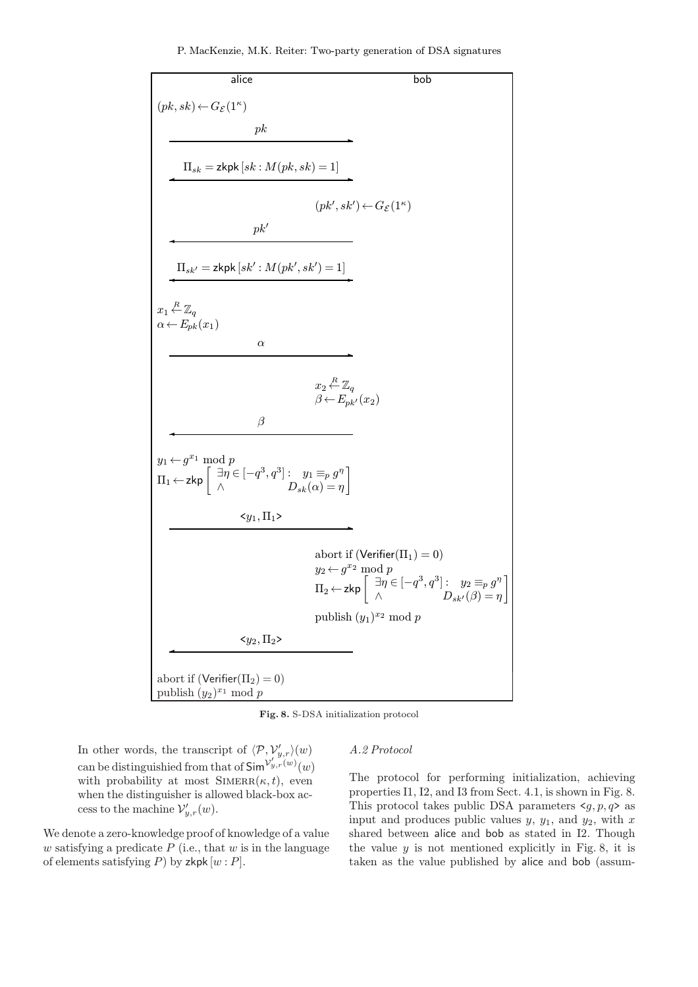P. MacKenzie, M.K. Reiter: Two-party generation of DSA signatures

| alice                                                                                                                                                                                                 | bob                                                                                                                                                                  |
|-------------------------------------------------------------------------------------------------------------------------------------------------------------------------------------------------------|----------------------------------------------------------------------------------------------------------------------------------------------------------------------|
| $(pk, sk) \leftarrow G_{\mathcal{E}}(1^{\kappa})$                                                                                                                                                     |                                                                                                                                                                      |
| pk                                                                                                                                                                                                    |                                                                                                                                                                      |
|                                                                                                                                                                                                       |                                                                                                                                                                      |
| $\Pi_{sk} =$ zkpk $[sk : M(pk, sk) = 1]$                                                                                                                                                              |                                                                                                                                                                      |
|                                                                                                                                                                                                       | $(pk', sk') \leftarrow G_{\mathcal{E}}(1^{\kappa})$                                                                                                                  |
| pk'                                                                                                                                                                                                   |                                                                                                                                                                      |
|                                                                                                                                                                                                       |                                                                                                                                                                      |
| $\Pi_{sk'} =$ zkpk $[sk':M(pk', sk') = 1]$                                                                                                                                                            |                                                                                                                                                                      |
| $x_1 \stackrel{R}{\leftarrow} \mathbb{Z}_q$                                                                                                                                                           |                                                                                                                                                                      |
| $\alpha \leftarrow E_{pk}(x_1)$                                                                                                                                                                       |                                                                                                                                                                      |
| $\alpha$                                                                                                                                                                                              |                                                                                                                                                                      |
|                                                                                                                                                                                                       | $x_2 \overset{R}{\leftarrow} \mathbb{Z}_q$                                                                                                                           |
|                                                                                                                                                                                                       | $\beta \leftarrow E_{pk'}(x_2)$                                                                                                                                      |
| $\beta$                                                                                                                                                                                               |                                                                                                                                                                      |
| $y_1 \leftarrow g^{x_1} \bmod p$                                                                                                                                                                      |                                                                                                                                                                      |
| $\Pi_1 \leftarrow \mathsf{zkp} \left[ \begin{array}{c} \exists \eta \in [-q^3, q^3]: \\ \wedge \end{array} \right] \begin{array}{c} y_1 \equiv_p g^\eta \\ D_{sk}(\alpha) = \eta \end{array} \right]$ |                                                                                                                                                                      |
|                                                                                                                                                                                                       |                                                                                                                                                                      |
| $>$                                                                                                                                                                                                   |                                                                                                                                                                      |
|                                                                                                                                                                                                       | abort if $(V$ erifier $(\Pi_1) = 0)$                                                                                                                                 |
|                                                                                                                                                                                                       | $y_2 \leftarrow g^{x_2} \mod p$                                                                                                                                      |
|                                                                                                                                                                                                       | $\overrightarrow{\exists\eta\in}[\, -q^3, q^3]: \begin{array}{c} y_2\equiv_p g^\eta\\ D_{sk'}(\beta)=\eta \end{array}]$<br>$\Pi_2 \leftarrow$ zkp<br>$\mid$ $\wedge$ |
|                                                                                                                                                                                                       | publish $(y_1)^{x_2} \mod p$                                                                                                                                         |
| $\langle y_2, \Pi_2 \rangle$                                                                                                                                                                          |                                                                                                                                                                      |
| abort if (Verifier( $\Pi_2$ ) = 0)                                                                                                                                                                    |                                                                                                                                                                      |
| publish $(y_2)^{x_1} \bmod p$                                                                                                                                                                         |                                                                                                                                                                      |

Fig. 8. S-DSA initialization protocol

In other words, the transcript of  $\langle \mathcal{P}, \mathcal{V}'_{y,r} \rangle (w)$ can be distinguishied from that of  $\mathsf{Sim}^{\mathcal{V}'_{y,r}(w)}(w)$ with probability at most  $\text{SIMERR}(\kappa, t)$ , even when the distinguisher is allowed black-box access to the machine  $\mathcal{V}'_{y,r}(w)$ .

We denote a zero-knowledge proof of knowledge of a value w satisfying a predicate  $P$  (i.e., that w is in the language of elements satisfying  $P$ ) by zkpk  $[w : P]$ .

# A.2 Protocol

The protocol for performing initialization, achieving properties I1, I2, and I3 from Sect. 4.1, is shown in Fig. 8. This protocol takes public DSA parameters  $\langle q, p, q \rangle$  as input and produces public values  $y, y_1$ , and  $y_2$ , with x shared between alice and bob as stated in I2. Though the value  $y$  is not mentioned explicitly in Fig. 8, it is taken as the value published by alice and bob (assum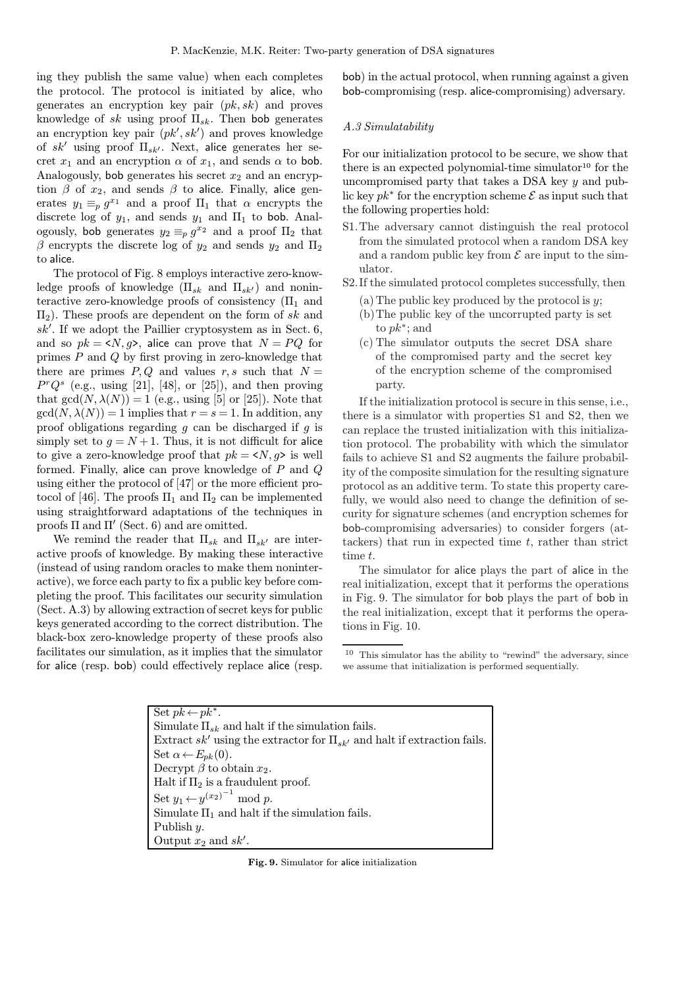ing they publish the same value) when each completes the protocol. The protocol is initiated by alice, who generates an encryption key pair  $(pk, sk)$  and proves knowledge of sk using proof  $\Pi_{sk}$ . Then bob generates an encryption key pair  $(pk', sk')$  and proves knowledge of sk' using proof  $\Pi_{sk}$ . Next, alice generates her secret  $x_1$  and an encryption  $\alpha$  of  $x_1$ , and sends  $\alpha$  to bob. Analogously, bob generates his secret  $x_2$  and an encryption  $\beta$  of  $x_2$ , and sends  $\beta$  to alice. Finally, alice generates  $y_1 \equiv_p g^{x_1}$  and a proof  $\Pi_1$  that  $\alpha$  encrypts the discrete log of  $y_1$ , and sends  $y_1$  and  $\Pi_1$  to bob. Analogously, bob generates  $y_2 \equiv_p g^{x_2}$  and a proof  $\Pi_2$  that β encrypts the discrete log of  $y_2$  and sends  $y_2$  and  $\Pi_2$ to alice.

The protocol of Fig. 8 employs interactive zero-knowledge proofs of knowledge  $(\Pi_{sk}$  and  $\Pi_{sk'})$  and noninteractive zero-knowledge proofs of consistency  $(\Pi_1$  and  $\Pi_2$ ). These proofs are dependent on the form of sk and sk . If we adopt the Paillier cryptosystem as in Sect. 6, and so  $pk = \langle N, g \rangle$ , alice can prove that  $N = PQ$  for primes P and Q by first proving in zero-knowledge that there are primes P, Q and values r, s such that  $N =$  $P^rQ^s$  (e.g., using [21], [48], or [25]), and then proving that  $gcd(N, \lambda(N)) = 1$  (e.g., using [5] or [25]). Note that  $gcd(N, \lambda(N)) = 1$  implies that  $r = s = 1$ . In addition, any proof obligations regarding  $g$  can be discharged if  $g$  is simply set to  $g = N + 1$ . Thus, it is not difficult for alice to give a zero-knowledge proof that  $pk = \langle N, g \rangle$  is well formed. Finally, alice can prove knowledge of P and Q using either the protocol of [47] or the more efficient protocol of [46]. The proofs  $\Pi_1$  and  $\Pi_2$  can be implemented using straightforward adaptations of the techniques in proofs  $\Pi$  and  $\Pi'$  (Sect. 6) and are omitted.

We remind the reader that  $\Pi_{sk}$  and  $\Pi_{sk'}$  are interactive proofs of knowledge. By making these interactive (instead of using random oracles to make them noninteractive), we force each party to fix a public key before completing the proof. This facilitates our security simulation (Sect. A.3) by allowing extraction of secret keys for public keys generated according to the correct distribution. The black-box zero-knowledge property of these proofs also facilitates our simulation, as it implies that the simulator for alice (resp. bob) could effectively replace alice (resp. bob) in the actual protocol, when running against a given bob-compromising (resp. alice-compromising) adversary.

### A.3 Simulatability

For our initialization protocol to be secure, we show that there is an expected polynomial-time simulator $10$  for the uncompromised party that takes a DSA key  $y$  and public key  $pk^*$  for the encryption scheme  $\mathcal E$  as input such that the following properties hold:

- S1.The adversary cannot distinguish the real protocol from the simulated protocol when a random DSA key and a random public key from  $\mathcal E$  are input to the simulator.
- S2.If the simulated protocol completes successfully, then
	- (a) The public key produced by the protocol is  $y$ ;
	- (b)The public key of the uncorrupted party is set to  $pk^*$ ; and
	- (c) The simulator outputs the secret DSA share of the compromised party and the secret key of the encryption scheme of the compromised party.

If the initialization protocol is secure in this sense, i.e., there is a simulator with properties S1 and S2, then we can replace the trusted initialization with this initialization protocol. The probability with which the simulator fails to achieve S1 and S2 augments the failure probability of the composite simulation for the resulting signature protocol as an additive term. To state this property carefully, we would also need to change the definition of security for signature schemes (and encryption schemes for bob-compromising adversaries) to consider forgers (attackers) that run in expected time  $t$ , rather than strict time t.

The simulator for alice plays the part of alice in the real initialization, except that it performs the operations in Fig. 9. The simulator for bob plays the part of bob in the real initialization, except that it performs the operations in Fig. 10.

 $10$  This simulator has the ability to "rewind" the adversary, since we assume that initialization is performed sequentially.

| Set $pk \leftarrow pk^*$ .                                                    |
|-------------------------------------------------------------------------------|
| Simulate $\Pi_{sk}$ and halt if the simulation fails.                         |
| Extract sk' using the extractor for $\Pi_{sk'}$ and halt if extraction fails. |
| Set $\alpha \leftarrow E_{pk}(0)$ .                                           |
| Decrypt $\beta$ to obtain $x_2$ .                                             |
| Halt if $\Pi_2$ is a fraudulent proof.                                        |
| Set $y_1 \leftarrow y^{(x_2)^{-1}} \mod p$ .                                  |
| Simulate $\Pi_1$ and halt if the simulation fails.                            |
| Publish $y$ .                                                                 |
| Output $x_2$ and $sk'$ .                                                      |
|                                                                               |

Fig. 9. Simulator for alice initialization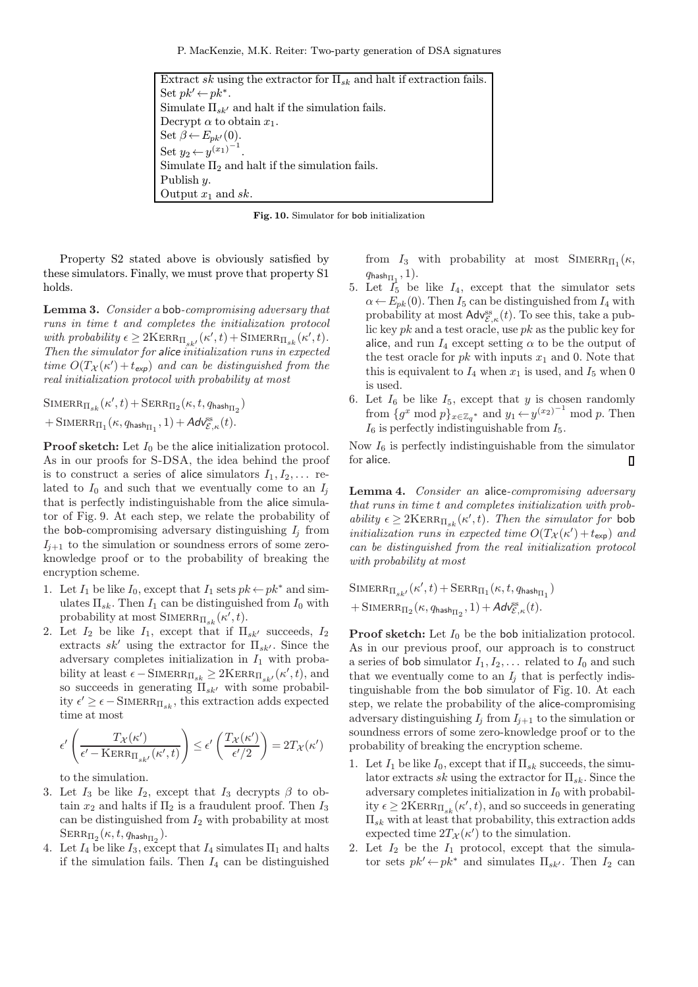Extract sk using the extractor for  $\Pi_{sk}$  and halt if extraction fails. Set  $pk' \leftarrow pk^*$ . Simulate  $\Pi_{sk'}$  and halt if the simulation fails. Decrypt  $\alpha$  to obtain  $x_1$ . Set  $\beta \leftarrow E_{pk'}(0)$ . Set  $y_2 \leftarrow y^{(x_1)^{-1}}$ . Simulate  $\Pi_2$  and halt if the simulation fails. Publish y. Output  $x_1$  and sk.

Fig. 10. Simulator for bob initialization

Property S2 stated above is obviously satisfied by these simulators. Finally, we must prove that property S1 holds.

Lemma 3. Consider a bob-compromising adversary that runs in time t and completes the initialization protocol with probability  $\epsilon \geq 2\text{KERR}_{\Pi_{sk'}}(\kappa',t) + \text{SIMERR}_{\Pi_{sk}}(\kappa',t).$ Then the simulator for alice initialization runs in expected time  $O(T_{\mathcal{X}}(\kappa') + t_{\exp})$  and can be distinguished from the real initialization protocol with probability at most

$$
\begin{aligned} & \text{SIMERR}_{\Pi_{sk}}(\kappa',t) + \text{SERR}_{\Pi_2}(\kappa,t,q_{\text{hash}_{\Pi_2}}) \\ & + \text{SIMERR}_{\Pi_1}(\kappa,q_{\text{hash}_{\Pi_1}},1) + \mathit{Adv}^{\text{ss}}_{\mathcal{E},\kappa}(t). \end{aligned}
$$

**Proof sketch:** Let  $I_0$  be the alice initialization protocol. As in our proofs for S-DSA, the idea behind the proof is to construct a series of alice simulators  $I_1, I_2, \ldots$  related to  $I_0$  and such that we eventually come to an  $I_j$ that is perfectly indistinguishable from the alice simulator of Fig. 9. At each step, we relate the probability of the bob-compromising adversary distinguishing  $I_j$  from  $I_{j+1}$  to the simulation or soundness errors of some zeroknowledge proof or to the probability of breaking the encryption scheme.

- 1. Let  $I_1$  be like  $I_0$ , except that  $I_1$  sets  $pk \leftarrow pk^*$  and simulates  $\Pi_{sk}$ . Then  $I_1$  can be distinguished from  $I_0$  with probability at most  $\text{SIMERR}_{\Pi_{sk}}(\kappa', t)$ .
- 2. Let  $I_2$  be like  $I_1$ , except that if  $\Pi_{sk'}$  succeeds,  $I_2$ extracts  $sk'$  using the extractor for  $\Pi_{sk'}$ . Since the adversary completes initialization in  $I_1$  with probability at least  $\epsilon - \text{SimERR}_{\Pi_{sk}} \geq 2 \text{KERR}_{\Pi_{sk'}}(\kappa', t)$ , and so succeeds in generating  $\Pi_{sk'}$  with some probability  $\epsilon' \geq \epsilon - \text{SIMERR}_{\Pi_{sk}}$ , this extraction adds expected time at most

$$
\epsilon' \left( \frac{T_{\mathcal{X}}(\kappa')}{\epsilon' - \text{KERR}_{\Pi_{sk'}}(\kappa', t)} \right) \le \epsilon' \left( \frac{T_{\mathcal{X}}(\kappa')}{\epsilon'/2} \right) = 2T_{\mathcal{X}}(\kappa')
$$

to the simulation.

- 3. Let  $I_3$  be like  $I_2$ , except that  $I_3$  decrypts  $\beta$  to obtain  $x_2$  and halts if  $\Pi_2$  is a fraudulent proof. Then  $I_3$ can be distinguished from  $I_2$  with probability at most  $\mathrm{SERR}_{\Pi_2}(\kappa,t,q_{\mathsf{hash}_{\Pi_2}}).$
- 4. Let  $I_4$  be like  $I_3$ , except that  $I_4$  simulates  $\Pi_1$  and halts if the simulation fails. Then  $I_4$  can be distinguished

from  $I_3$  with probability at most  $\text{SIMERR}_{\Pi_1}(\kappa,$  $q_{\mathsf{hash}_{\Pi_1}}, 1).$ 

- 5. Let  $I_5$  be like  $I_4$ , except that the simulator sets  $\alpha \leftarrow E_{pk}(0)$ . Then  $I_5$  can be distinguished from  $I_4$  with probability at most  $\mathsf{Adv}_{\mathcal{E},\kappa}^{\mathrm{ss}}(t)$ . To see this, take a public key  $pk$  and a test oracle, use  $pk$  as the public key for alice, and run  $I_4$  except setting  $\alpha$  to be the output of the test oracle for  $pk$  with inputs  $x_1$  and 0. Note that this is equivalent to  $I_4$  when  $x_1$  is used, and  $I_5$  when 0 is used.
- 6. Let  $I_6$  be like  $I_5$ , except that y is chosen randomly from  $\{g^x \mod p\}_{x \in \mathbb{Z}_q^*}$  and  $y_1 \leftarrow y^{(x_2)^{-1}} \mod p$ . Then  $I_6$  is perfectly indistinguishable from  $I_5$ .

Now  $I_6$  is perfectly indistinguishable from the simulator for alice. П

Lemma 4. Consider an alice-compromising adversary that runs in time t and completes initialization with probability  $\epsilon \geq 2K \text{ERR}_{\Pi_{sk}}(\kappa', t)$ . Then the simulator for bob initialization runs in expected time  $O(T_{\mathcal{X}}(\kappa') + t_{\exp})$  and can be distinguished from the real initialization protocol with probability at most

 $\mathrm{SIMERR}_{\Pi_{sk'}}(\kappa',t)+\mathrm{SERR}_{\Pi_1}(\kappa,t,q_{\mathsf{hash}_{\Pi_1}})$  $+\operatorname{SIMERR}_{\Pi_2}(\kappa,q_{\mathsf{hash}_{\Pi_2}},1)+\mathsf{Adv}^{\operatorname{ss}}_{\mathcal{E},\kappa}(t).$ 

**Proof sketch:** Let  $I_0$  be the bob initialization protocol. As in our previous proof, our approach is to construct a series of bob simulator  $I_1, I_2, \ldots$  related to  $I_0$  and such that we eventually come to an  $I_i$  that is perfectly indistinguishable from the bob simulator of Fig. 10. At each step, we relate the probability of the alice-compromising adversary distinguishing  $I_i$  from  $I_{i+1}$  to the simulation or soundness errors of some zero-knowledge proof or to the probability of breaking the encryption scheme.

- 1. Let  $I_1$  be like  $I_0$ , except that if  $\Pi_{sk}$  succeeds, the simulator extracts sk using the extractor for  $\Pi_{sk}$ . Since the adversary completes initialization in  $I_0$  with probability  $\epsilon \geq 2 \text{KERR}_{\Pi_{sk}}(\kappa', t)$ , and so succeeds in generating  $\Pi_{sk}$  with at least that probability, this extraction adds expected time  $2T_{\mathcal{X}}(\kappa')$  to the simulation.
- 2. Let  $I_2$  be the  $I_1$  protocol, except that the simulator sets  $pk' \leftarrow pk^*$  and simulates  $\Pi_{sk'}$ . Then  $I_2$  can